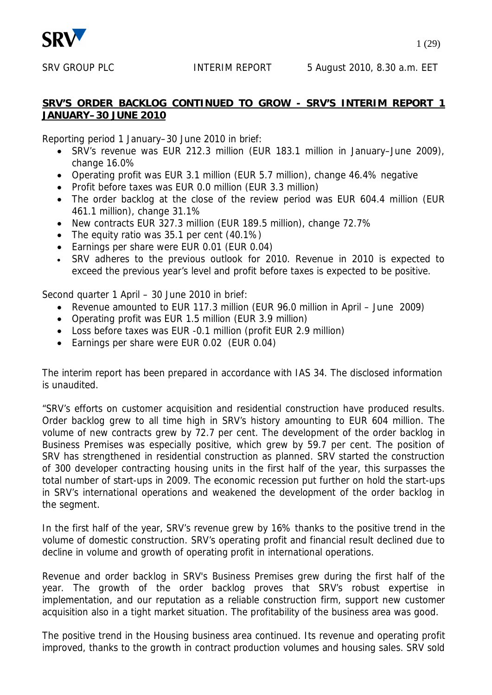

SRV GROUP PLC **INTERIM REPORT** 5 August 2010, 8.30 a.m. EET

# **SRV'S ORDER BACKLOG CONTINUED TO GROW - SRV'S INTERIM REPORT 1 JANUARY–30 JUNE 2010**

Reporting period 1 January–30 June 2010 in brief:

- SRV's revenue was EUR 212.3 million (EUR 183.1 million in January–June 2009), change 16.0%
- Operating profit was EUR 3.1 million (EUR 5.7 million), change 46.4% negative
- Profit before taxes was EUR 0.0 million (EUR 3.3 million)
- The order backlog at the close of the review period was EUR 604.4 million (EUR 461.1 million), change 31.1%
- New contracts EUR 327.3 million (EUR 189.5 million), change 72.7%
- The equity ratio was  $35.1$  per cent  $(40.1\%)$
- Earnings per share were EUR 0.01 (EUR 0.04)
- SRV adheres to the previous outlook for 2010. Revenue in 2010 is expected to exceed the previous year's level and profit before taxes is expected to be positive.

Second quarter 1 April – 30 June 2010 in brief:

- Revenue amounted to EUR 117.3 million (EUR 96.0 million in April June 2009)
- Operating profit was EUR 1.5 million (EUR 3.9 million)
- Loss before taxes was EUR -0.1 million (profit EUR 2.9 million)
- Earnings per share were EUR 0.02 (EUR 0.04)

The interim report has been prepared in accordance with IAS 34. The disclosed information is unaudited.

"SRV's efforts on customer acquisition and residential construction have produced results. Order backlog grew to all time high in SRV's history amounting to EUR 604 million. The volume of new contracts grew by 72.7 per cent. The development of the order backlog in Business Premises was especially positive, which grew by 59.7 per cent. The position of SRV has strengthened in residential construction as planned. SRV started the construction of 300 developer contracting housing units in the first half of the year, this surpasses the total number of start-ups in 2009. The economic recession put further on hold the start-ups in SRV's international operations and weakened the development of the order backlog in the segment.

In the first half of the year, SRV's revenue grew by 16% thanks to the positive trend in the volume of domestic construction. SRV's operating profit and financial result declined due to decline in volume and growth of operating profit in international operations.

Revenue and order backlog in SRV's Business Premises grew during the first half of the year. The growth of the order backlog proves that SRV's robust expertise in implementation, and our reputation as a reliable construction firm, support new customer acquisition also in a tight market situation. The profitability of the business area was good.

The positive trend in the Housing business area continued. Its revenue and operating profit improved, thanks to the growth in contract production volumes and housing sales. SRV sold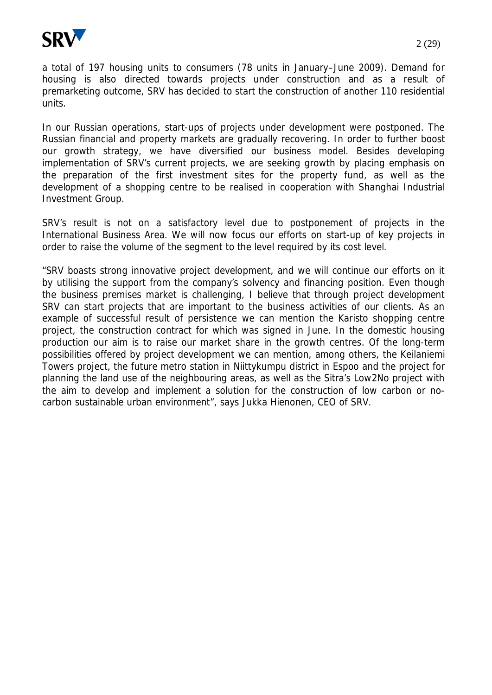

a total of 197 housing units to consumers (78 units in January–June 2009). Demand for housing is also directed towards projects under construction and as a result of premarketing outcome, SRV has decided to start the construction of another 110 residential units.

In our Russian operations, start-ups of projects under development were postponed. The Russian financial and property markets are gradually recovering. In order to further boost our growth strategy, we have diversified our business model. Besides developing implementation of SRV's current projects, we are seeking growth by placing emphasis on the preparation of the first investment sites for the property fund, as well as the development of a shopping centre to be realised in cooperation with Shanghai Industrial Investment Group.

SRV's result is not on a satisfactory level due to postponement of projects in the International Business Area. We will now focus our efforts on start-up of key projects in order to raise the volume of the segment to the level required by its cost level.

"SRV boasts strong innovative project development, and we will continue our efforts on it by utilising the support from the company's solvency and financing position. Even though the business premises market is challenging, I believe that through project development SRV can start projects that are important to the business activities of our clients. As an example of successful result of persistence we can mention the Karisto shopping centre project, the construction contract for which was signed in June. In the domestic housing production our aim is to raise our market share in the growth centres. Of the long-term possibilities offered by project development we can mention, among others, the Keilaniemi Towers project, the future metro station in Niittykumpu district in Espoo and the project for planning the land use of the neighbouring areas, as well as the Sitra's Low2No project with the aim to develop and implement a solution for the construction of low carbon or nocarbon sustainable urban environment", says Jukka Hienonen, CEO of SRV.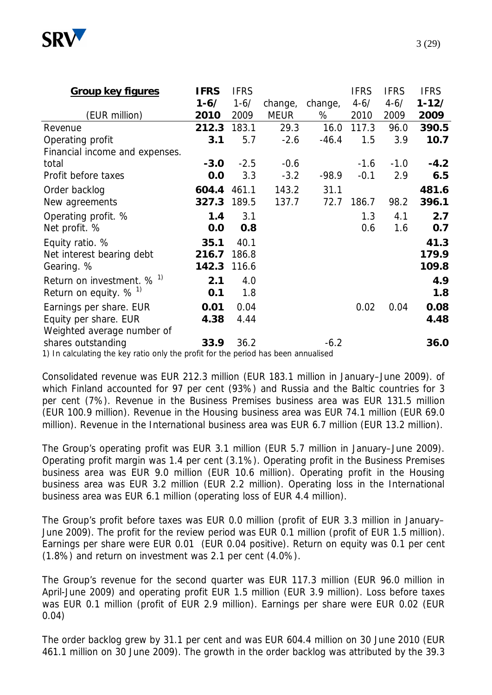

| <b>Group key figures</b>                                                                                 | <b>IFRS</b> | <b>IFRS</b> |             |         | <b>IFRS</b> | <b>IFRS</b> | <b>IFRS</b> |
|----------------------------------------------------------------------------------------------------------|-------------|-------------|-------------|---------|-------------|-------------|-------------|
|                                                                                                          | $1 - 6/$    | $1 - 6/$    | change,     | change, | $4 - 6/$    | $4 - 6/$    | $1 - 12/$   |
| (EUR million)                                                                                            | 2010        | 2009        | <b>MEUR</b> | %       | 2010        | 2009        | 2009        |
| Revenue                                                                                                  | 212.3       | 183.1       | 29.3        | 16.0    | 117.3       | 96.0        | 390.5       |
| Operating profit                                                                                         | 3.1         | 5.7         | $-2.6$      | $-46.4$ | 1.5         | 3.9         | 10.7        |
| Financial income and expenses.                                                                           |             |             |             |         |             |             |             |
| total                                                                                                    | $-3.0$      | $-2.5$      | $-0.6$      |         | $-1.6$      | $-1.0$      | $-4.2$      |
| Profit before taxes                                                                                      | 0.0         | 3.3         | $-3.2$      | $-98.9$ | $-0.1$      | 2.9         | 6.5         |
| Order backlog                                                                                            | 604.4       | 461.1       | 143.2       | 31.1    |             |             | 481.6       |
| New agreements                                                                                           | 327.3       | 189.5       | 137.7       | 72.7    | 186.7       | 98.2        | 396.1       |
| Operating profit. %                                                                                      | 1.4         | 3.1         |             |         | 1.3         | 4.1         | 2.7         |
| Net profit. %                                                                                            | 0.0         | 0.8         |             |         | 0.6         | 1.6         | 0.7         |
| Equity ratio. %                                                                                          | 35.1        | 40.1        |             |         |             |             | 41.3        |
| Net interest bearing debt                                                                                | 216.7       | 186.8       |             |         |             |             | 179.9       |
| Gearing. %                                                                                               | 142.3       | 116.6       |             |         |             |             | 109.8       |
| Return on investment. % <sup>1)</sup>                                                                    | 2.1         | 4.0         |             |         |             |             | 4.9         |
| Return on equity. $%$ <sup>1)</sup>                                                                      | 0.1         | 1.8         |             |         |             |             | 1.8         |
| Earnings per share. EUR                                                                                  | 0.01        | 0.04        |             |         | 0.02        | 0.04        | 0.08        |
| Equity per share. EUR                                                                                    | 4.38        | 4.44        |             |         |             |             | 4.48        |
| Weighted average number of                                                                               |             |             |             |         |             |             |             |
| shares outstanding<br>1) In calculating the key ratio only the profit for the period has been appualised | 33.9        | 36.2        |             | $-6.2$  |             |             | 36.0        |

1) In calculating the key ratio only the profit for the period has been annualised

Consolidated revenue was EUR 212.3 million (EUR 183.1 million in January–June 2009). of which Finland accounted for 97 per cent (93%) and Russia and the Baltic countries for 3 per cent (7%). Revenue in the Business Premises business area was EUR 131.5 million (EUR 100.9 million). Revenue in the Housing business area was EUR 74.1 million (EUR 69.0 million). Revenue in the International business area was EUR 6.7 million (EUR 13.2 million).

The Group's operating profit was EUR 3.1 million (EUR 5.7 million in January–June 2009). Operating profit margin was 1.4 per cent (3.1%). Operating profit in the Business Premises business area was EUR 9.0 million (EUR 10.6 million). Operating profit in the Housing business area was EUR 3.2 million (EUR 2.2 million). Operating loss in the International business area was EUR 6.1 million (operating loss of EUR 4.4 million).

The Group's profit before taxes was EUR 0.0 million (profit of EUR 3.3 million in January– June 2009). The profit for the review period was EUR 0.1 million (profit of EUR 1.5 million). Earnings per share were EUR 0.01 (EUR 0.04 positive). Return on equity was 0.1 per cent (1.8%) and return on investment was 2.1 per cent (4.0%).

The Group's revenue for the second quarter was EUR 117.3 million (EUR 96.0 million in April-June 2009) and operating profit EUR 1.5 million (EUR 3.9 million). Loss before taxes was EUR 0.1 million (profit of EUR 2.9 million). Earnings per share were EUR 0.02 (EUR 0.04)

The order backlog grew by 31.1 per cent and was EUR 604.4 million on 30 June 2010 (EUR 461.1 million on 30 June 2009). The growth in the order backlog was attributed by the 39.3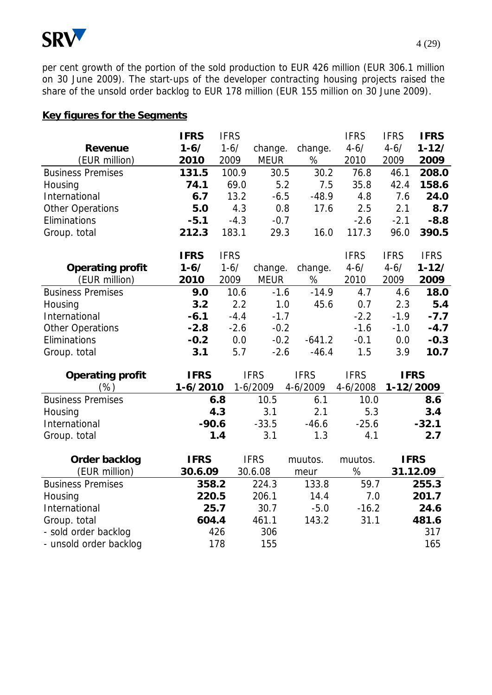

per cent growth of the portion of the sold production to EUR 426 million (EUR 306.1 million on 30 June 2009). The start-ups of the developer contracting housing projects raised the share of the unsold order backlog to EUR 178 million (EUR 155 million on 30 June 2009).

# **Key figures for the Segments**

|                          | <b>IFRS</b>  | <b>IFRS</b> |             |             | <b>IFRS</b> | <b>IFRS</b> | <b>IFRS</b> |
|--------------------------|--------------|-------------|-------------|-------------|-------------|-------------|-------------|
| Revenue                  | $1 - 6/$     | $1 - 6/$    | change.     | change.     | $4 - 6/$    | $4 - 6/$    | $1 - 12/$   |
| (EUR million)            | 2010         | 2009        | <b>MEUR</b> | $\%$        | 2010        | 2009        | 2009        |
| <b>Business Premises</b> | 131.5        | 100.9       | 30.5        | 30.2        | 76.8        | 46.1        | 208.0       |
| Housing                  | 74.1         | 69.0        | 5.2         | 7.5         | 35.8        | 42.4        | 158.6       |
| International            | 6.7          | 13.2        | $-6.5$      | $-48.9$     | 4.8         | 7.6         | 24.0        |
| <b>Other Operations</b>  | 5.0          | 4.3         | 0.8         | 17.6        | 2.5         | 2.1         | 8.7         |
| Eliminations             | $-5.1$       | $-4.3$      | $-0.7$      |             | $-2.6$      | $-2.1$      | $-8.8$      |
| Group. total             | 212.3        | 183.1       | 29.3        | 16.0        | 117.3       | 96.0        | 390.5       |
|                          | <b>IFRS</b>  | <b>IFRS</b> |             |             | <b>IFRS</b> | <b>IFRS</b> | <b>IFRS</b> |
| Operating profit         | $1 - 6/$     | $1 - 6/$    | change.     | change.     | $4 - 6/$    | $4 - 6/$    | $1 - 12/$   |
| (EUR million)            | 2010         | 2009        | <b>MEUR</b> | $\%$        | 2010        | 2009        | 2009        |
| <b>Business Premises</b> | 9.0          | 10.6        | $-1.6$      | $-14.9$     | 4.7         | 4.6         | 18.0        |
| Housing                  | 3.2          | 2.2         | 1.0         | 45.6        | 0.7         | 2.3         | 5.4         |
| International            | $-6.1$       | $-4.4$      | $-1.7$      |             | $-2.2$      | $-1.9$      | $-7.7$      |
| <b>Other Operations</b>  | $-2.8$       | $-2.6$      | $-0.2$      |             | $-1.6$      | $-1.0$      | $-4.7$      |
| Eliminations             | $-0.2$       | 0.0         | $-0.2$      | $-641.2$    | $-0.1$      | 0.0         | $-0.3$      |
| Group. total             | 3.1          | 5.7         | $-2.6$      | $-46.4$     | 1.5         | 3.9         | 10.7        |
| Operating profit         | <b>IFRS</b>  |             | <b>IFRS</b> | <b>IFRS</b> | <b>IFRS</b> | <b>IFRS</b> |             |
| (%)                      | $1 - 6/2010$ |             | 1-6/2009    | 4-6/2009    | 4-6/2008    |             | 1-12/2009   |
| <b>Business Premises</b> |              | 6.8         | 10.5        | 6.1         | 10.0        |             | 8.6         |
| Housing                  |              | 4.3         | 3.1         | 2.1         | 5.3         |             | 3.4         |
| International            | $-90.6$      |             | $-33.5$     | $-46.6$     | $-25.6$     |             | $-32.1$     |
| Group. total             |              | 1.4         | 3.1         | 1.3         | 4.1         |             | 2.7         |
| Order backlog            | <b>IFRS</b>  |             | <b>IFRS</b> | muutos.     | muutos.     |             | <b>IFRS</b> |
| (EUR million)            | 30.6.09      |             | 30.6.08     | meur        | %           |             | 31.12.09    |
| <b>Business Premises</b> | 358.2        |             | 224.3       | 133.8       | 59.7        |             | 255.3       |
| Housing                  | 220.5        |             | 206.1       | 14.4        | 7.0         |             | 201.7       |
| International            | 25.7         |             | 30.7        | $-5.0$      | $-16.2$     |             | 24.6        |
| Group. total             | 604.4        |             | 461.1       | 143.2       | 31.1        |             | 481.6       |
| - sold order backlog     |              | 426         | 306         |             |             |             | 317         |
| - unsold order backlog   |              | 178         | 155         |             |             |             | 165         |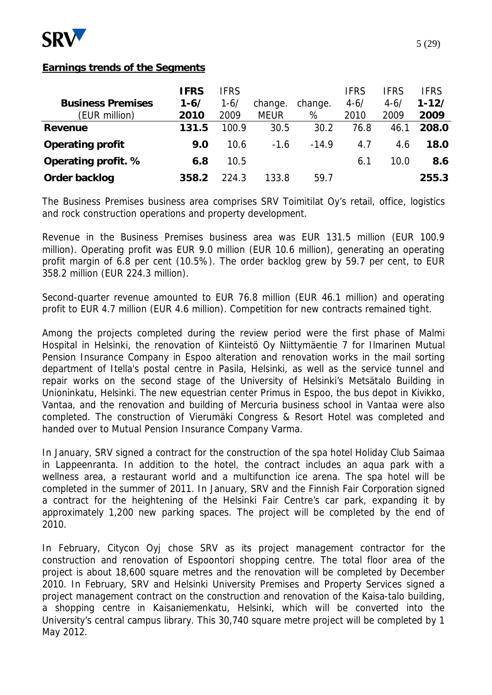

# **Earnings trends of the Segments**

| <b>Business Premises</b><br>(EUR million) | <b>IFRS</b><br>$1 - 6/$<br>2010 | <b>IFRS</b><br>1-6/<br>2009 | change.<br><b>MEUR</b> | change.<br>% | <b>IFRS</b><br>$4 - 6/$<br>2010 | <b>IFRS</b><br>$4 - 6/$<br>2009 | IFRS<br>$1 - 12/$<br>2009 |
|-------------------------------------------|---------------------------------|-----------------------------|------------------------|--------------|---------------------------------|---------------------------------|---------------------------|
| Revenue                                   | 131.5                           | 100.9                       | 30.5                   | 30.2         | 76.8                            | 46.1                            | 208.0                     |
| Operating profit                          | 9.0                             | 10.6                        | $-1.6$                 | $-14.9$      | 4.7                             | 4.6                             | 18.0                      |
| Operating profit. %                       | 6.8                             | 10.5                        |                        |              | 6.1                             | 10.0                            | 8.6                       |
| Order backlog                             | 358.2                           | 224.3                       | 133.8                  | 59.7         |                                 |                                 | 255.3                     |

The Business Premises business area comprises SRV Toimitilat Oy's retail, office, logistics and rock construction operations and property development.

Revenue in the Business Premises business area was EUR 131.5 million (EUR 100.9 million). Operating profit was EUR 9.0 million (EUR 10.6 million), generating an operating profit margin of 6.8 per cent (10.5%). The order backlog grew by 59.7 per cent, to EUR 358.2 million (EUR 224.3 million).

Second-quarter revenue amounted to EUR 76.8 million (EUR 46.1 million) and operating profit to EUR 4.7 million (EUR 4.6 million). Competition for new contracts remained tight.

Among the projects completed during the review period were the first phase of Malmi Hospital in Helsinki, the renovation of Kiinteistö Oy Niittymäentie 7 for Ilmarinen Mutual Pension Insurance Company in Espoo alteration and renovation works in the mail sorting department of Itella's postal centre in Pasila, Helsinki, as well as the service tunnel and repair works on the second stage of the University of Helsinki's Metsätalo Building in Unioninkatu, Helsinki. The new equestrian center Primus in Espoo, the bus depot in Kivikko, Vantaa, and the renovation and building of Mercuria business school in Vantaa were also completed. The construction of Vierumäki Congress & Resort Hotel was completed and handed over to Mutual Pension Insurance Company Varma.

In January, SRV signed a contract for the construction of the spa hotel Holiday Club Saimaa in Lappeenranta. In addition to the hotel, the contract includes an aqua park with a wellness area, a restaurant world and a multifunction ice arena. The spa hotel will be completed in the summer of 2011. In January, SRV and the Finnish Fair Corporation signed a contract for the heightening of the Helsinki Fair Centre's car park, expanding it by approximately 1,200 new parking spaces. The project will be completed by the end of 2010.

In February, Citycon Oyj chose SRV as its project management contractor for the construction and renovation of Espoontori shopping centre. The total floor area of the project is about 18,600 square metres and the renovation will be completed by December 2010. In February, SRV and Helsinki University Premises and Property Services signed a project management contract on the construction and renovation of the Kaisa-talo building, a shopping centre in Kaisaniemenkatu, Helsinki, which will be converted into the University's central campus library. This 30,740 square metre project will be completed by 1 May 2012.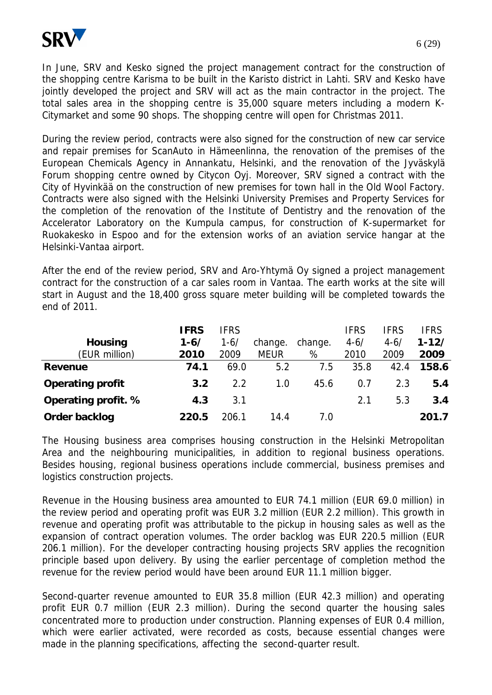

In June, SRV and Kesko signed the project management contract for the construction of the shopping centre Karisma to be built in the Karisto district in Lahti. SRV and Kesko have jointly developed the project and SRV will act as the main contractor in the project. The total sales area in the shopping centre is 35,000 square meters including a modern K-Citymarket and some 90 shops. The shopping centre will open for Christmas 2011.

During the review period, contracts were also signed for the construction of new car service and repair premises for ScanAuto in Hämeenlinna, the renovation of the premises of the European Chemicals Agency in Annankatu, Helsinki, and the renovation of the Jyväskylä Forum shopping centre owned by Citycon Oyj. Moreover, SRV signed a contract with the City of Hyvinkää on the construction of new premises for town hall in the Old Wool Factory. Contracts were also signed with the Helsinki University Premises and Property Services for the completion of the renovation of the Institute of Dentistry and the renovation of the Accelerator Laboratory on the Kumpula campus, for construction of K-supermarket for Ruokakesko in Espoo and for the extension works of an aviation service hangar at the Helsinki-Vantaa airport.

After the end of the review period, SRV and Aro-Yhtymä Oy signed a project management contract for the construction of a car sales room in Vantaa. The earth works at the site will start in August and the 18,400 gross square meter building will be completed towards the end of 2011.

|                     | <b>IFRS</b> | <b>IFRS</b> |             |         | <b>IFRS</b> | IFRS     | IFRS      |
|---------------------|-------------|-------------|-------------|---------|-------------|----------|-----------|
| Housing             | 1-6/        | $1 - 6/$    | change.     | change. | $4 - 6/$    | $4 - 6/$ | $1 - 12/$ |
| (EUR million)       | 2010        | 2009        | <b>MEUR</b> | %       | 2010        | 2009     | 2009      |
| Revenue             | 74.1        | 69.0        | 5.2         | 7.5     | 35.8        | 42.4     | 158.6     |
| Operating profit    | 3.2         | 2.2         | 1.0         | 45.6    | 0.7         | 2.3      | 5.4       |
| Operating profit. % | 4.3         | 3.1         |             |         | 2.1         | 5.3      | 3.4       |
| Order backlog       | 220.5       | 206.1       | 14.4        | 7.0     |             |          | 201.7     |

The Housing business area comprises housing construction in the Helsinki Metropolitan Area and the neighbouring municipalities, in addition to regional business operations. Besides housing, regional business operations include commercial, business premises and logistics construction projects.

Revenue in the Housing business area amounted to EUR 74.1 million (EUR 69.0 million) in the review period and operating profit was EUR 3.2 million (EUR 2.2 million). This growth in revenue and operating profit was attributable to the pickup in housing sales as well as the expansion of contract operation volumes. The order backlog was EUR 220.5 million (EUR 206.1 million). For the developer contracting housing projects SRV applies the recognition principle based upon delivery. By using the earlier percentage of completion method the revenue for the review period would have been around EUR 11.1 million bigger.

Second-quarter revenue amounted to EUR 35.8 million (EUR 42.3 million) and operating profit EUR 0.7 million (EUR 2.3 million). During the second quarter the housing sales concentrated more to production under construction. Planning expenses of EUR 0.4 million, which were earlier activated, were recorded as costs, because essential changes were made in the planning specifications, affecting the second-quarter result.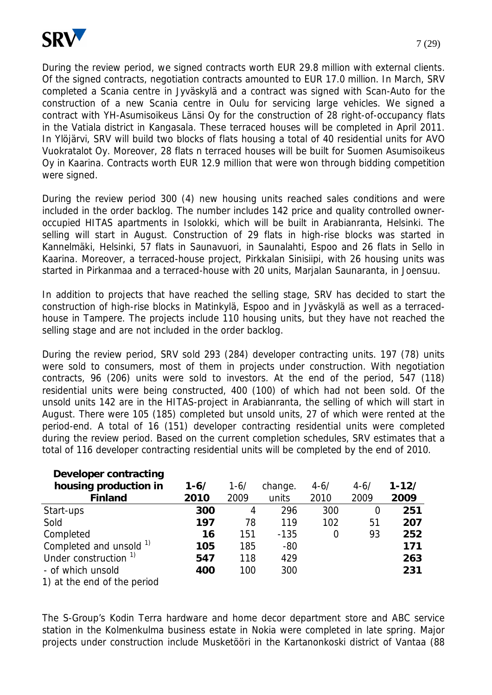

During the review period, we signed contracts worth EUR 29.8 million with external clients. Of the signed contracts, negotiation contracts amounted to EUR 17.0 million. In March, SRV completed a Scania centre in Jyväskylä and a contract was signed with Scan-Auto for the construction of a new Scania centre in Oulu for servicing large vehicles. We signed a contract with YH-Asumisoikeus Länsi Oy for the construction of 28 right-of-occupancy flats in the Vatiala district in Kangasala. These terraced houses will be completed in April 2011. In Ylöjärvi, SRV will build two blocks of flats housing a total of 40 residential units for AVO Vuokratalot Oy. Moreover, 28 flats n terraced houses will be built for Suomen Asumisoikeus Oy in Kaarina. Contracts worth EUR 12.9 million that were won through bidding competition were signed.

During the review period 300 (4) new housing units reached sales conditions and were included in the order backlog. The number includes 142 price and quality controlled owneroccupied HITAS apartments in Isolokki, which will be built in Arabianranta, Helsinki. The selling will start in August. Construction of 29 flats in high-rise blocks was started in Kannelmäki, Helsinki, 57 flats in Saunavuori, in Saunalahti, Espoo and 26 flats in Sello in Kaarina. Moreover, a terraced-house project, Pirkkalan Sinisiipi, with 26 housing units was started in Pirkanmaa and a terraced-house with 20 units, Marjalan Saunaranta, in Joensuu.

In addition to projects that have reached the selling stage, SRV has decided to start the construction of high-rise blocks in Matinkylä, Espoo and in Jyväskylä as well as a terracedhouse in Tampere. The projects include 110 housing units, but they have not reached the selling stage and are not included in the order backlog.

During the review period, SRV sold 293 (284) developer contracting units. 197 (78) units were sold to consumers, most of them in projects under construction. With negotiation contracts, 96 (206) units were sold to investors. At the end of the period, 547 (118) residential units were being constructed, 400 (100) of which had not been sold. Of the unsold units 142 are in the HITAS-project in Arabianranta, the selling of which will start in August. There were 105 (185) completed but unsold units, 27 of which were rented at the period-end. A total of 16 (151) developer contracting residential units were completed during the review period. Based on the current completion schedules, SRV estimates that a total of 116 developer contracting residential units will be completed by the end of 2010.

| Developer contracting            |          |          |         |          |          |           |
|----------------------------------|----------|----------|---------|----------|----------|-----------|
| housing production in            | $1 - 6/$ | $1 - 6/$ | change. | $4 - 6/$ | $4 - 6/$ | $1 - 12/$ |
| Finland                          | 2010     | 2009     | units   | 2010     | 2009     | 2009      |
| Start-ups                        | 300      | 4        | 296     | 300      | 0        | 251       |
| Sold                             | 197      | 78       | 119     | 102      | 51       | 207       |
| Completed                        | 16       | 151      | $-135$  | 0        | 93       | 252       |
| Completed and unsold 1)          | 105      | 185      | $-80$   |          |          | 171       |
| Under construction <sup>1)</sup> | 547      | 118      | 429     |          |          | 263       |
| - of which unsold                | 400      | 100      | 300     |          |          | 231       |
| 1) at the end of the period      |          |          |         |          |          |           |

The S-Group's Kodin Terra hardware and home decor department store and ABC service station in the Kolmenkulma business estate in Nokia were completed in late spring. Major projects under construction include Musketööri in the Kartanonkoski district of Vantaa (88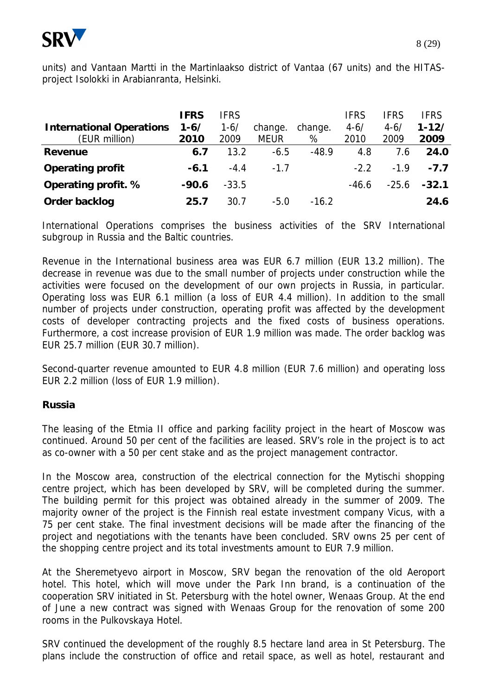

units) and Vantaan Martti in the Martinlaakso district of Vantaa (67 units) and the HITASproject Isolokki in Arabianranta, Helsinki.

|                                 | <b>IFRS</b> | <b>IFRS</b> |             |         | <b>IFRS</b> | <b>IFRS</b> | <b>IFRS</b> |
|---------------------------------|-------------|-------------|-------------|---------|-------------|-------------|-------------|
| <b>International Operations</b> | $1 - 6/$    | $1 - 6/$    | change.     | change. | $4 - 6/$    | $4 - 6/$    | $1 - 12/$   |
| (EUR million)                   | 2010        | 2009        | <b>MEUR</b> | %       | 2010        | 2009        | 2009        |
| Revenue                         | 6.7         | 13.2        | $-6.5$      | $-48.9$ | 4.8         | 7.6         | 24.0        |
| Operating profit                | $-6.1$      | $-4.4$      | $-1.7$      |         | $-2.2$      | $-1.9$      | $-7.7$      |
| Operating profit. %             | $-90.6$     | $-33.5$     |             |         | $-46.6$     | $-25.6$     | $-32.1$     |
| Order backlog                   | 25.7        | 30.7        | $-5.0$      | $-16.2$ |             |             | 24.6        |

International Operations comprises the business activities of the SRV International subgroup in Russia and the Baltic countries.

Revenue in the International business area was EUR 6.7 million (EUR 13.2 million). The decrease in revenue was due to the small number of projects under construction while the activities were focused on the development of our own projects in Russia, in particular. Operating loss was EUR 6.1 million (a loss of EUR 4.4 million). In addition to the small number of projects under construction, operating profit was affected by the development costs of developer contracting projects and the fixed costs of business operations. Furthermore, a cost increase provision of EUR 1.9 million was made. The order backlog was EUR 25.7 million (EUR 30.7 million).

Second-quarter revenue amounted to EUR 4.8 million (EUR 7.6 million) and operating loss EUR 2.2 million (loss of EUR 1.9 million).

# **Russia**

The leasing of the Etmia II office and parking facility project in the heart of Moscow was continued. Around 50 per cent of the facilities are leased. SRV's role in the project is to act as co-owner with a 50 per cent stake and as the project management contractor.

In the Moscow area, construction of the electrical connection for the Mytischi shopping centre project, which has been developed by SRV, will be completed during the summer. The building permit for this project was obtained already in the summer of 2009. The majority owner of the project is the Finnish real estate investment company Vicus, with a 75 per cent stake. The final investment decisions will be made after the financing of the project and negotiations with the tenants have been concluded. SRV owns 25 per cent of the shopping centre project and its total investments amount to EUR 7.9 million.

At the Sheremetyevo airport in Moscow, SRV began the renovation of the old Aeroport hotel. This hotel, which will move under the Park Inn brand, is a continuation of the cooperation SRV initiated in St. Petersburg with the hotel owner, Wenaas Group. At the end of June a new contract was signed with Wenaas Group for the renovation of some 200 rooms in the Pulkovskaya Hotel.

SRV continued the development of the roughly 8.5 hectare land area in St Petersburg. The plans include the construction of office and retail space, as well as hotel, restaurant and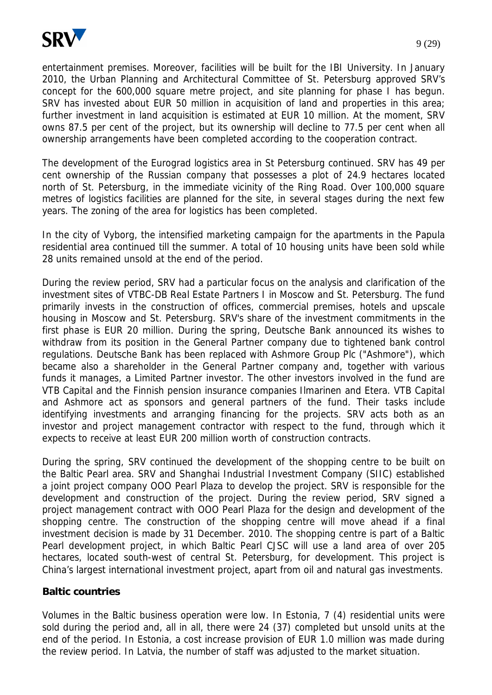

entertainment premises. Moreover, facilities will be built for the IBI University. In January 2010, the Urban Planning and Architectural Committee of St. Petersburg approved SRV's concept for the 600,000 square metre project, and site planning for phase I has begun. SRV has invested about EUR 50 million in acquisition of land and properties in this area; further investment in land acquisition is estimated at EUR 10 million. At the moment, SRV owns 87.5 per cent of the project, but its ownership will decline to 77.5 per cent when all ownership arrangements have been completed according to the cooperation contract.

The development of the Eurograd logistics area in St Petersburg continued. SRV has 49 per cent ownership of the Russian company that possesses a plot of 24.9 hectares located north of St. Petersburg, in the immediate vicinity of the Ring Road. Over 100,000 square metres of logistics facilities are planned for the site, in several stages during the next few years. The zoning of the area for logistics has been completed.

In the city of Vyborg, the intensified marketing campaign for the apartments in the Papula residential area continued till the summer. A total of 10 housing units have been sold while 28 units remained unsold at the end of the period.

During the review period, SRV had a particular focus on the analysis and clarification of the investment sites of VTBC-DB Real Estate Partners I in Moscow and St. Petersburg. The fund primarily invests in the construction of offices, commercial premises, hotels and upscale housing in Moscow and St. Petersburg. SRV's share of the investment commitments in the first phase is EUR 20 million. During the spring, Deutsche Bank announced its wishes to withdraw from its position in the General Partner company due to tightened bank control regulations. Deutsche Bank has been replaced with Ashmore Group Plc ("Ashmore"), which became also a shareholder in the General Partner company and, together with various funds it manages, a Limited Partner investor. The other investors involved in the fund are VTB Capital and the Finnish pension insurance companies Ilmarinen and Etera. VTB Capital and Ashmore act as sponsors and general partners of the fund. Their tasks include identifying investments and arranging financing for the projects. SRV acts both as an investor and project management contractor with respect to the fund, through which it expects to receive at least EUR 200 million worth of construction contracts.

During the spring, SRV continued the development of the shopping centre to be built on the Baltic Pearl area. SRV and Shanghai Industrial Investment Company (SIIC) established a joint project company OOO Pearl Plaza to develop the project. SRV is responsible for the development and construction of the project. During the review period, SRV signed a project management contract with OOO Pearl Plaza for the design and development of the shopping centre. The construction of the shopping centre will move ahead if a final investment decision is made by 31 December. 2010. The shopping centre is part of a Baltic Pearl development project, in which Baltic Pearl CJSC will use a land area of over 205 hectares, located south-west of central St. Petersburg, for development. This project is China's largest international investment project, apart from oil and natural gas investments.

#### **Baltic countries**

Volumes in the Baltic business operation were low. In Estonia, 7 (4) residential units were sold during the period and, all in all, there were 24 (37) completed but unsold units at the end of the period. In Estonia, a cost increase provision of EUR 1.0 million was made during the review period. In Latvia, the number of staff was adjusted to the market situation.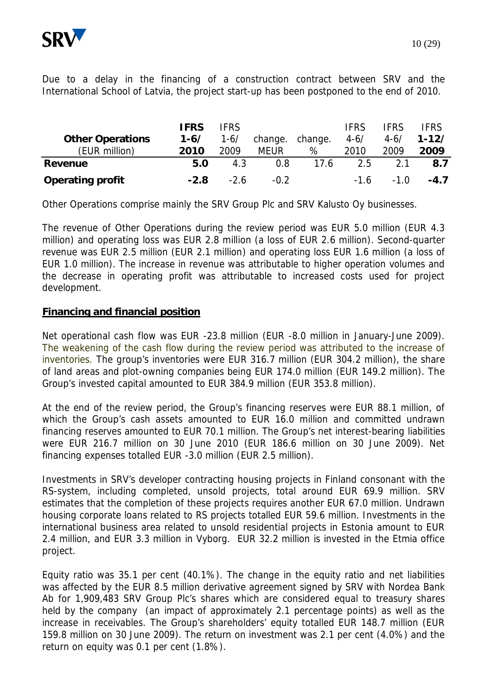

Due to a delay in the financing of a construction contract between SRV and the International School of Latvia, the project start-up has been postponed to the end of 2010.

| <b>Other Operations</b> | <b>IFRS</b><br>$1 - 6/$ | <b>IFRS</b><br>$1 - 6/$ | change. | change. | <b>IFRS</b><br>$4 - 6/$ | <b>IFRS</b><br>$4 - 6/$ | <b>FRS</b><br>$1 - 12/$ |
|-------------------------|-------------------------|-------------------------|---------|---------|-------------------------|-------------------------|-------------------------|
| (EUR million)           | 2010                    | 2009                    | MEUR    | %       | 2010                    | 2009                    | 2009                    |
| Revenue                 | 5.0                     | 4.3                     | 0.8     | 17.6    | 2.5                     | 2.1                     | 8.7                     |
| Operating profit        | $-2.8$                  | $-2.6$                  | $-0.2$  |         | $-1.6$                  | $-1.0$                  | $-4.7$                  |

Other Operations comprise mainly the SRV Group Plc and SRV Kalusto Oy businesses.

The revenue of Other Operations during the review period was EUR 5.0 million (EUR 4.3 million) and operating loss was EUR 2.8 million (a loss of EUR 2.6 million). Second-quarter revenue was EUR 2.5 million (EUR 2.1 million) and operating loss EUR 1.6 million (a loss of EUR 1.0 million). The increase in revenue was attributable to higher operation volumes and the decrease in operating profit was attributable to increased costs used for project development.

# **Financing and financial position**

Net operational cash flow was EUR -23.8 million (EUR -8.0 million in January-June 2009). The weakening of the cash flow during the review period was attributed to the increase of inventories. The group's inventories were EUR 316.7 million (EUR 304.2 million), the share of land areas and plot-owning companies being EUR 174.0 million (EUR 149.2 million). The Group's invested capital amounted to EUR 384.9 million (EUR 353.8 million).

At the end of the review period, the Group's financing reserves were EUR 88.1 million, of which the Group's cash assets amounted to EUR 16.0 million and committed undrawn financing reserves amounted to EUR 70.1 million. The Group's net interest-bearing liabilities were EUR 216.7 million on 30 June 2010 (EUR 186.6 million on 30 June 2009). Net financing expenses totalled EUR -3.0 million (EUR 2.5 million).

Investments in SRV's developer contracting housing projects in Finland consonant with the RS-system, including completed, unsold projects, total around EUR 69.9 million. SRV estimates that the completion of these projects requires another EUR 67.0 million. Undrawn housing corporate loans related to RS projects totalled EUR 59.6 million. Investments in the international business area related to unsold residential projects in Estonia amount to EUR 2.4 million, and EUR 3.3 million in Vyborg. EUR 32.2 million is invested in the Etmia office project.

Equity ratio was 35.1 per cent (40.1%). The change in the equity ratio and net liabilities was affected by the EUR 8.5 million derivative agreement signed by SRV with Nordea Bank Ab for 1,909,483 SRV Group Plc's shares which are considered equal to treasury shares held by the company (an impact of approximately 2.1 percentage points) as well as the increase in receivables. The Group's shareholders' equity totalled EUR 148.7 million (EUR 159.8 million on 30 June 2009). The return on investment was 2.1 per cent (4.0%) and the return on equity was 0.1 per cent (1.8%).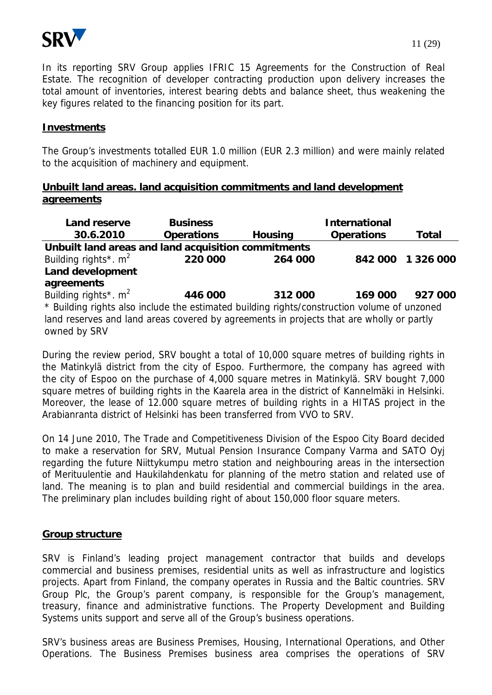

In its reporting SRV Group applies IFRIC 15 Agreements for the Construction of Real Estate. The recognition of developer contracting production upon delivery increases the total amount of inventories, interest bearing debts and balance sheet, thus weakening the key figures related to the financing position for its part.

## **Investments**

The Group's investments totalled EUR 1.0 million (EUR 2.3 million) and were mainly related to the acquisition of machinery and equipment.

# **Unbuilt land areas. land acquisition commitments and land development agreements**

| Land reserve                                                                                | <b>Business</b> |         | International |                   |  |  |  |  |  |
|---------------------------------------------------------------------------------------------|-----------------|---------|---------------|-------------------|--|--|--|--|--|
| 30.6.2010                                                                                   | Operations      | Housing | Operations    | Total             |  |  |  |  |  |
| Unbuilt land areas and land acquisition commitments                                         |                 |         |               |                   |  |  |  |  |  |
| Building rights*. $m^2$                                                                     | 220 000         | 264 000 |               | 842 000 1 326 000 |  |  |  |  |  |
| Land development                                                                            |                 |         |               |                   |  |  |  |  |  |
| agreements                                                                                  |                 |         |               |                   |  |  |  |  |  |
| Building rights*. m <sup>2</sup>                                                            | 446 000         | 312 000 | 169 000       | 927 000           |  |  |  |  |  |
| * Building rights also include the estimated building rights/construction volume of unzoned |                 |         |               |                   |  |  |  |  |  |
| land reserves and land areas covered by agreements in projects that are wholly or partly    |                 |         |               |                   |  |  |  |  |  |
| owned by SRV                                                                                |                 |         |               |                   |  |  |  |  |  |

During the review period, SRV bought a total of 10,000 square metres of building rights in the Matinkylä district from the city of Espoo. Furthermore, the company has agreed with the city of Espoo on the purchase of 4,000 square metres in Matinkylä. SRV bought 7,000 square metres of building rights in the Kaarela area in the district of Kannelmäki in Helsinki. Moreover, the lease of 12.000 square metres of building rights in a HITAS project in the Arabianranta district of Helsinki has been transferred from VVO to SRV.

On 14 June 2010, The Trade and Competitiveness Division of the Espoo City Board decided to make a reservation for SRV, Mutual Pension Insurance Company Varma and SATO Oyj regarding the future Niittykumpu metro station and neighbouring areas in the intersection of Merituulentie and Haukilahdenkatu for planning of the metro station and related use of land. The meaning is to plan and build residential and commercial buildings in the area. The preliminary plan includes building right of about 150,000 floor square meters.

# **Group structure**

SRV is Finland's leading project management contractor that builds and develops commercial and business premises, residential units as well as infrastructure and logistics projects. Apart from Finland, the company operates in Russia and the Baltic countries. SRV Group Plc, the Group's parent company, is responsible for the Group's management, treasury, finance and administrative functions. The Property Development and Building Systems units support and serve all of the Group's business operations.

SRV's business areas are Business Premises, Housing, International Operations, and Other Operations. The Business Premises business area comprises the operations of SRV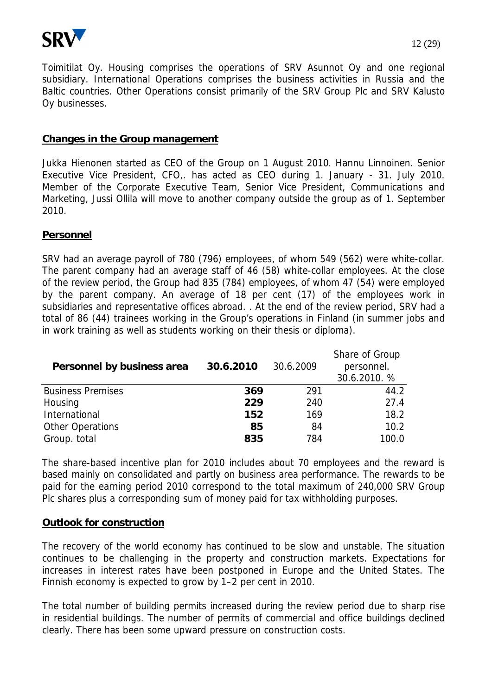

Toimitilat Oy. Housing comprises the operations of SRV Asunnot Oy and one regional subsidiary. International Operations comprises the business activities in Russia and the Baltic countries. Other Operations consist primarily of the SRV Group Plc and SRV Kalusto Oy businesses.

### **Changes in the Group management**

Jukka Hienonen started as CEO of the Group on 1 August 2010. Hannu Linnoinen. Senior Executive Vice President, CFO,. has acted as CEO during 1. January - 31. July 2010. Member of the Corporate Executive Team, Senior Vice President, Communications and Marketing, Jussi Ollila will move to another company outside the group as of 1. September 2010.

### **Personnel**

SRV had an average payroll of 780 (796) employees, of whom 549 (562) were white-collar. The parent company had an average staff of 46 (58) white-collar employees. At the close of the review period, the Group had 835 (784) employees, of whom 47 (54) were employed by the parent company. An average of 18 per cent (17) of the employees work in subsidiaries and representative offices abroad. . At the end of the review period, SRV had a total of 86 (44) trainees working in the Group's operations in Finland (in summer jobs and in work training as well as students working on their thesis or diploma).

| Personnel by business area | 30.6.2010 | 30.6.2009 | Share of Group<br>personnel.<br>30.6.2010. % |
|----------------------------|-----------|-----------|----------------------------------------------|
| <b>Business Premises</b>   | 369       | 291       | 44.2                                         |
| Housing                    | 229       | 240       | 27.4                                         |
| International              | 152       | 169       | 18.2                                         |
| <b>Other Operations</b>    | 85        | 84        | 10.2                                         |
| Group. total               | 835       | 784       | 100.0                                        |

The share-based incentive plan for 2010 includes about 70 employees and the reward is based mainly on consolidated and partly on business area performance. The rewards to be paid for the earning period 2010 correspond to the total maximum of 240,000 SRV Group Plc shares plus a corresponding sum of money paid for tax withholding purposes.

#### **Outlook for construction**

The recovery of the world economy has continued to be slow and unstable. The situation continues to be challenging in the property and construction markets. Expectations for increases in interest rates have been postponed in Europe and the United States. The Finnish economy is expected to grow by 1–2 per cent in 2010.

The total number of building permits increased during the review period due to sharp rise in residential buildings. The number of permits of commercial and office buildings declined clearly. There has been some upward pressure on construction costs.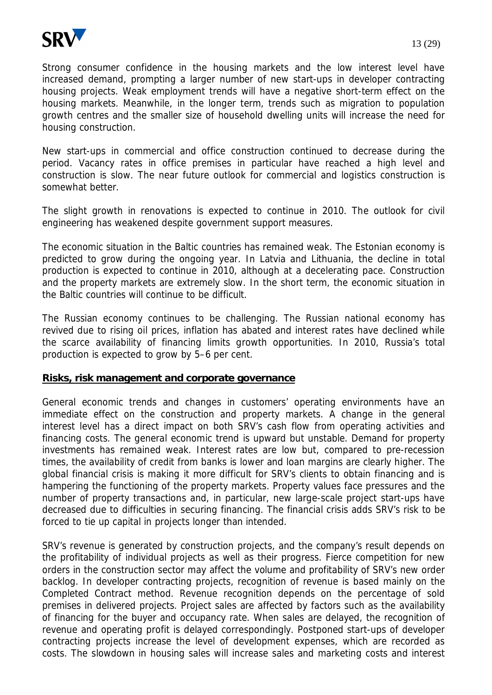

Strong consumer confidence in the housing markets and the low interest level have increased demand, prompting a larger number of new start-ups in developer contracting housing projects. Weak employment trends will have a negative short-term effect on the housing markets. Meanwhile, in the longer term, trends such as migration to population growth centres and the smaller size of household dwelling units will increase the need for housing construction.

New start-ups in commercial and office construction continued to decrease during the period. Vacancy rates in office premises in particular have reached a high level and construction is slow. The near future outlook for commercial and logistics construction is somewhat better.

The slight growth in renovations is expected to continue in 2010. The outlook for civil engineering has weakened despite government support measures.

The economic situation in the Baltic countries has remained weak. The Estonian economy is predicted to grow during the ongoing year. In Latvia and Lithuania, the decline in total production is expected to continue in 2010, although at a decelerating pace. Construction and the property markets are extremely slow. In the short term, the economic situation in the Baltic countries will continue to be difficult.

The Russian economy continues to be challenging. The Russian national economy has revived due to rising oil prices, inflation has abated and interest rates have declined while the scarce availability of financing limits growth opportunities. In 2010, Russia's total production is expected to grow by 5–6 per cent.

# **Risks, risk management and corporate governance**

General economic trends and changes in customers' operating environments have an immediate effect on the construction and property markets. A change in the general interest level has a direct impact on both SRV's cash flow from operating activities and financing costs. The general economic trend is upward but unstable. Demand for property investments has remained weak. Interest rates are low but, compared to pre-recession times, the availability of credit from banks is lower and loan margins are clearly higher. The global financial crisis is making it more difficult for SRV's clients to obtain financing and is hampering the functioning of the property markets. Property values face pressures and the number of property transactions and, in particular, new large-scale project start-ups have decreased due to difficulties in securing financing. The financial crisis adds SRV's risk to be forced to tie up capital in projects longer than intended.

SRV's revenue is generated by construction projects, and the company's result depends on the profitability of individual projects as well as their progress. Fierce competition for new orders in the construction sector may affect the volume and profitability of SRV's new order backlog. In developer contracting projects, recognition of revenue is based mainly on the Completed Contract method. Revenue recognition depends on the percentage of sold premises in delivered projects. Project sales are affected by factors such as the availability of financing for the buyer and occupancy rate. When sales are delayed, the recognition of revenue and operating profit is delayed correspondingly. Postponed start-ups of developer contracting projects increase the level of development expenses, which are recorded as costs. The slowdown in housing sales will increase sales and marketing costs and interest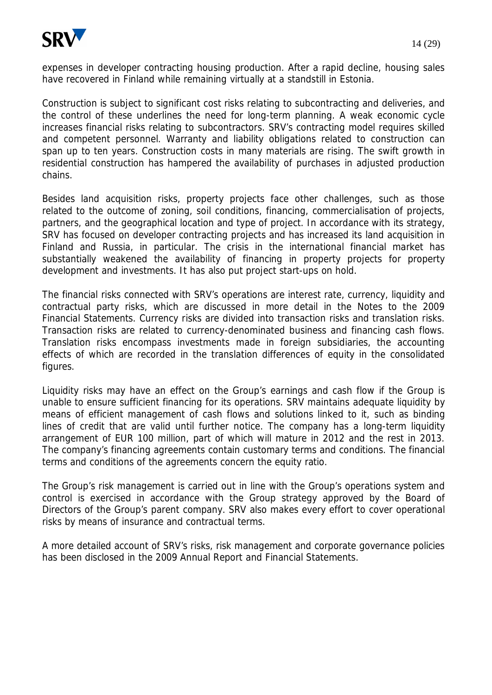

expenses in developer contracting housing production. After a rapid decline, housing sales have recovered in Finland while remaining virtually at a standstill in Estonia.

Construction is subject to significant cost risks relating to subcontracting and deliveries, and the control of these underlines the need for long-term planning. A weak economic cycle increases financial risks relating to subcontractors. SRV's contracting model requires skilled and competent personnel. Warranty and liability obligations related to construction can span up to ten years. Construction costs in many materials are rising. The swift growth in residential construction has hampered the availability of purchases in adjusted production chains.

Besides land acquisition risks, property projects face other challenges, such as those related to the outcome of zoning, soil conditions, financing, commercialisation of projects, partners, and the geographical location and type of project. In accordance with its strategy, SRV has focused on developer contracting projects and has increased its land acquisition in Finland and Russia, in particular. The crisis in the international financial market has substantially weakened the availability of financing in property projects for property development and investments. It has also put project start-ups on hold.

The financial risks connected with SRV's operations are interest rate, currency, liquidity and contractual party risks, which are discussed in more detail in the Notes to the 2009 Financial Statements. Currency risks are divided into transaction risks and translation risks. Transaction risks are related to currency-denominated business and financing cash flows. Translation risks encompass investments made in foreign subsidiaries, the accounting effects of which are recorded in the translation differences of equity in the consolidated figures.

Liquidity risks may have an effect on the Group's earnings and cash flow if the Group is unable to ensure sufficient financing for its operations. SRV maintains adequate liquidity by means of efficient management of cash flows and solutions linked to it, such as binding lines of credit that are valid until further notice. The company has a long-term liquidity arrangement of EUR 100 million, part of which will mature in 2012 and the rest in 2013. The company's financing agreements contain customary terms and conditions. The financial terms and conditions of the agreements concern the equity ratio.

The Group's risk management is carried out in line with the Group's operations system and control is exercised in accordance with the Group strategy approved by the Board of Directors of the Group's parent company. SRV also makes every effort to cover operational risks by means of insurance and contractual terms.

A more detailed account of SRV's risks, risk management and corporate governance policies has been disclosed in the 2009 Annual Report and Financial Statements.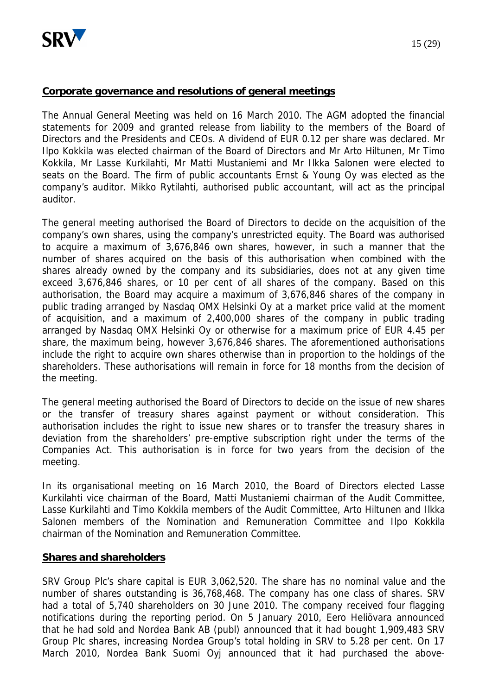

## **Corporate governance and resolutions of general meetings**

The Annual General Meeting was held on 16 March 2010. The AGM adopted the financial statements for 2009 and granted release from liability to the members of the Board of Directors and the Presidents and CEOs. A dividend of EUR 0.12 per share was declared. Mr Ilpo Kokkila was elected chairman of the Board of Directors and Mr Arto Hiltunen, Mr Timo Kokkila, Mr Lasse Kurkilahti, Mr Matti Mustaniemi and Mr Ilkka Salonen were elected to seats on the Board. The firm of public accountants Ernst & Young Oy was elected as the company's auditor. Mikko Rytilahti, authorised public accountant, will act as the principal auditor.

The general meeting authorised the Board of Directors to decide on the acquisition of the company's own shares, using the company's unrestricted equity. The Board was authorised to acquire a maximum of 3,676,846 own shares, however, in such a manner that the number of shares acquired on the basis of this authorisation when combined with the shares already owned by the company and its subsidiaries, does not at any given time exceed 3,676,846 shares, or 10 per cent of all shares of the company. Based on this authorisation, the Board may acquire a maximum of 3,676,846 shares of the company in public trading arranged by Nasdaq OMX Helsinki Oy at a market price valid at the moment of acquisition, and a maximum of 2,400,000 shares of the company in public trading arranged by Nasdaq OMX Helsinki Oy or otherwise for a maximum price of EUR 4.45 per share, the maximum being, however 3,676,846 shares. The aforementioned authorisations include the right to acquire own shares otherwise than in proportion to the holdings of the shareholders. These authorisations will remain in force for 18 months from the decision of the meeting.

The general meeting authorised the Board of Directors to decide on the issue of new shares or the transfer of treasury shares against payment or without consideration. This authorisation includes the right to issue new shares or to transfer the treasury shares in deviation from the shareholders' pre-emptive subscription right under the terms of the Companies Act. This authorisation is in force for two years from the decision of the meeting.

In its organisational meeting on 16 March 2010, the Board of Directors elected Lasse Kurkilahti vice chairman of the Board, Matti Mustaniemi chairman of the Audit Committee, Lasse Kurkilahti and Timo Kokkila members of the Audit Committee, Arto Hiltunen and Ilkka Salonen members of the Nomination and Remuneration Committee and Ilpo Kokkila chairman of the Nomination and Remuneration Committee.

#### **Shares and shareholders**

SRV Group Plc's share capital is EUR 3,062,520. The share has no nominal value and the number of shares outstanding is 36,768,468. The company has one class of shares. SRV had a total of 5,740 shareholders on 30 June 2010. The company received four flagging notifications during the reporting period. On 5 January 2010, Eero Heliövara announced that he had sold and Nordea Bank AB (publ) announced that it had bought 1,909,483 SRV Group Plc shares, increasing Nordea Group's total holding in SRV to 5.28 per cent. On 17 March 2010, Nordea Bank Suomi Oyj announced that it had purchased the above-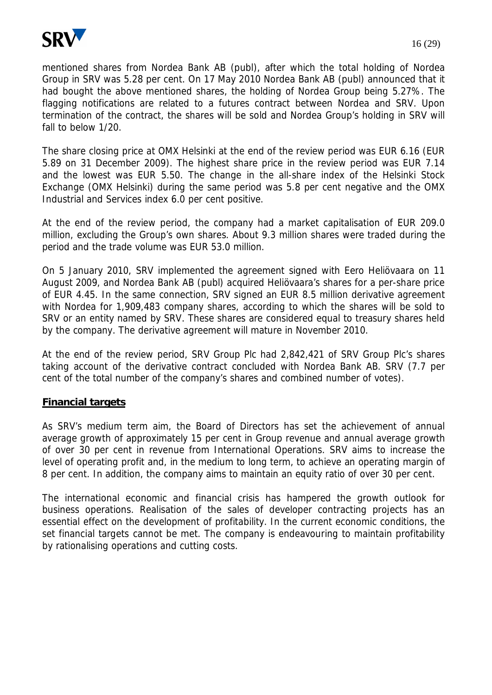

mentioned shares from Nordea Bank AB (publ), after which the total holding of Nordea Group in SRV was 5.28 per cent. On 17 May 2010 Nordea Bank AB (publ) announced that it had bought the above mentioned shares, the holding of Nordea Group being 5.27%. The flagging notifications are related to a futures contract between Nordea and SRV. Upon termination of the contract, the shares will be sold and Nordea Group's holding in SRV will fall to below 1/20.

The share closing price at OMX Helsinki at the end of the review period was EUR 6.16 (EUR 5.89 on 31 December 2009). The highest share price in the review period was EUR 7.14 and the lowest was EUR 5.50. The change in the all-share index of the Helsinki Stock Exchange (OMX Helsinki) during the same period was 5.8 per cent negative and the OMX Industrial and Services index 6.0 per cent positive.

At the end of the review period, the company had a market capitalisation of EUR 209.0 million, excluding the Group's own shares. About 9.3 million shares were traded during the period and the trade volume was EUR 53.0 million.

On 5 January 2010, SRV implemented the agreement signed with Eero Heliövaara on 11 August 2009, and Nordea Bank AB (publ) acquired Heliövaara's shares for a per-share price of EUR 4.45. In the same connection, SRV signed an EUR 8.5 million derivative agreement with Nordea for 1,909,483 company shares, according to which the shares will be sold to SRV or an entity named by SRV. These shares are considered equal to treasury shares held by the company. The derivative agreement will mature in November 2010.

At the end of the review period, SRV Group Plc had 2,842,421 of SRV Group Plc's shares taking account of the derivative contract concluded with Nordea Bank AB. SRV (7.7 per cent of the total number of the company's shares and combined number of votes).

# **Financial targets**

As SRV's medium term aim, the Board of Directors has set the achievement of annual average growth of approximately 15 per cent in Group revenue and annual average growth of over 30 per cent in revenue from International Operations. SRV aims to increase the level of operating profit and, in the medium to long term, to achieve an operating margin of 8 per cent. In addition, the company aims to maintain an equity ratio of over 30 per cent.

The international economic and financial crisis has hampered the growth outlook for business operations. Realisation of the sales of developer contracting projects has an essential effect on the development of profitability. In the current economic conditions, the set financial targets cannot be met. The company is endeavouring to maintain profitability by rationalising operations and cutting costs.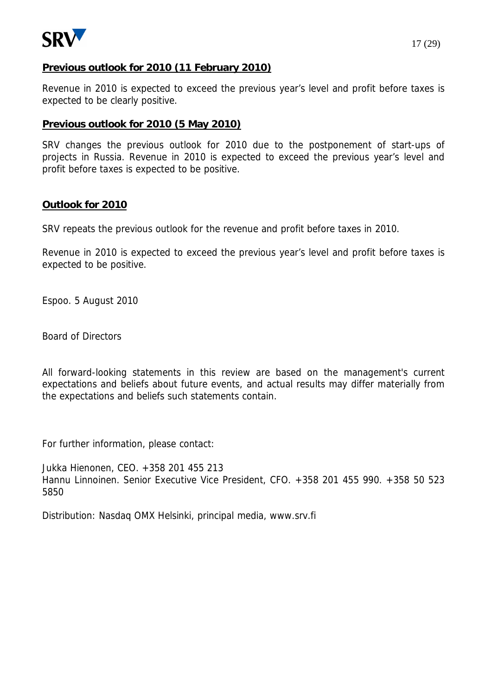

Revenue in 2010 is expected to exceed the previous year's level and profit before taxes is expected to be clearly positive.

# **Previous outlook for 2010 (5 May 2010)**

SRV changes the previous outlook for 2010 due to the postponement of start-ups of projects in Russia. Revenue in 2010 is expected to exceed the previous year's level and profit before taxes is expected to be positive.

# **Outlook for 2010**

SRV repeats the previous outlook for the revenue and profit before taxes in 2010.

Revenue in 2010 is expected to exceed the previous year's level and profit before taxes is expected to be positive.

Espoo. 5 August 2010

Board of Directors

All forward-looking statements in this review are based on the management's current expectations and beliefs about future events, and actual results may differ materially from the expectations and beliefs such statements contain.

For further information, please contact:

Jukka Hienonen, CEO. +358 201 455 213 Hannu Linnoinen. Senior Executive Vice President, CFO. +358 201 455 990. +358 50 523 5850

Distribution: Nasdaq OMX Helsinki, principal media, www.srv.fi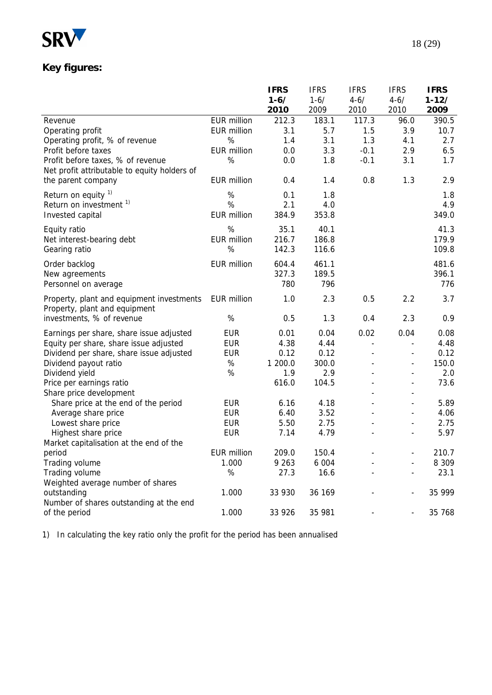

# **Key figures:**

|                                                                 |                    | <b>IFRS</b> | <b>IFRS</b> | <b>IFRS</b>                  | <b>IFRS</b>                                              | <b>IFRS</b> |
|-----------------------------------------------------------------|--------------------|-------------|-------------|------------------------------|----------------------------------------------------------|-------------|
|                                                                 |                    | $1 - 6/$    | $1 - 6/$    | $4 - 6/$                     | $4 - 6/$                                                 | $1 - 12/$   |
|                                                                 |                    | 2010        | 2009        | 2010                         | 2010                                                     | 2009        |
| Revenue                                                         | <b>EUR million</b> | 212.3       | 183.1       | 117.3                        | 96.0                                                     | 390.5       |
| Operating profit                                                | <b>EUR million</b> | 3.1         | 5.7         | 1.5                          | 3.9                                                      | 10.7        |
| Operating profit, % of revenue                                  | %                  | 1.4         | 3.1         | 1.3                          | 4.1                                                      | 2.7         |
| Profit before taxes                                             | <b>EUR million</b> | 0.0         | 3.3         | $-0.1$                       | 2.9                                                      | 6.5         |
| Profit before taxes, % of revenue                               | $\%$               | 0.0         | 1.8         | $-0.1$                       | 3.1                                                      | 1.7         |
| Net profit attributable to equity holders of                    |                    |             |             |                              |                                                          |             |
| the parent company                                              | <b>EUR million</b> | 0.4         | 1.4         | 0.8                          | 1.3                                                      | 2.9         |
| Return on equity <sup>1)</sup>                                  | $\%$               | 0.1         | 1.8         |                              |                                                          | 1.8         |
| Return on investment <sup>1)</sup>                              | %                  | 2.1         | 4.0         |                              |                                                          | 4.9         |
| Invested capital                                                | <b>EUR million</b> | 384.9       | 353.8       |                              |                                                          | 349.0       |
|                                                                 |                    |             |             |                              |                                                          |             |
| Equity ratio                                                    | $\%$               | 35.1        | 40.1        |                              |                                                          | 41.3        |
| Net interest-bearing debt                                       | <b>EUR million</b> | 216.7       | 186.8       |                              |                                                          | 179.9       |
| Gearing ratio                                                   | %                  | 142.3       | 116.6       |                              |                                                          | 109.8       |
| Order backlog                                                   | <b>EUR million</b> | 604.4       | 461.1       |                              |                                                          | 481.6       |
| New agreements                                                  |                    | 327.3       | 189.5       |                              |                                                          | 396.1       |
| Personnel on average                                            |                    | 780         | 796         |                              |                                                          | 776         |
| Property, plant and equipment investments                       | <b>EUR million</b> | 1.0         | 2.3         | 0.5                          | 2.2                                                      | 3.7         |
| Property, plant and equipment                                   |                    |             |             |                              |                                                          |             |
| investments, % of revenue                                       | $\%$               | 0.5         | 1.3         | 0.4                          | 2.3                                                      | 0.9         |
|                                                                 |                    |             |             |                              |                                                          |             |
| Earnings per share, share issue adjusted                        | <b>EUR</b>         | 0.01        | 0.04        | 0.02                         | 0.04                                                     | 0.08        |
| Equity per share, share issue adjusted                          | <b>EUR</b>         | 4.38        | 4.44        | $\qquad \qquad \blacksquare$ | $\overline{\phantom{a}}$                                 | 4.48        |
| Dividend per share, share issue adjusted                        | <b>EUR</b>         | 0.12        | 0.12        | L,                           | $\overline{\phantom{a}}$                                 | 0.12        |
| Dividend payout ratio                                           | $\%$               | 1 200.0     | 300.0       |                              | $\overline{\phantom{a}}$                                 | 150.0       |
| Dividend yield                                                  | %                  | 1.9         | 2.9         |                              | $\overline{\phantom{a}}$                                 | 2.0         |
| Price per earnings ratio                                        |                    | 616.0       | 104.5       |                              | $\overline{\phantom{a}}$                                 | 73.6        |
| Share price development<br>Share price at the end of the period | <b>EUR</b>         | 6.16        | 4.18        |                              | $\overline{\phantom{a}}$<br>$\qquad \qquad \blacksquare$ | 5.89        |
| Average share price                                             | <b>EUR</b>         | 6.40        | 3.52        |                              | $\overline{\phantom{a}}$                                 | 4.06        |
| Lowest share price                                              | <b>EUR</b>         | 5.50        | 2.75        |                              | $\overline{\phantom{a}}$                                 | 2.75        |
|                                                                 | <b>EUR</b>         | 7.14        | 4.79        |                              |                                                          | 5.97        |
| Highest share price<br>Market capitalisation at the end of the  |                    |             |             |                              |                                                          |             |
| period                                                          | EUR million        | 209.0       | 150.4       |                              |                                                          | 210.7       |
| Trading volume                                                  | 1.000              | 9 2 6 3     | 6 0 0 4     |                              |                                                          | 8 3 0 9     |
| Trading volume                                                  | $\%$               | 27.3        | 16.6        |                              |                                                          | 23.1        |
| Weighted average number of shares                               |                    |             |             |                              |                                                          |             |
| outstanding                                                     | 1.000              | 33 930      | 36 169      |                              |                                                          | 35 999      |
| Number of shares outstanding at the end                         |                    |             |             |                              |                                                          |             |
| of the period                                                   | 1.000              | 33 926      | 35 981      |                              | $\overline{\phantom{a}}$                                 | 35 768      |
|                                                                 |                    |             |             |                              |                                                          |             |

1) In calculating the key ratio only the profit for the period has been annualised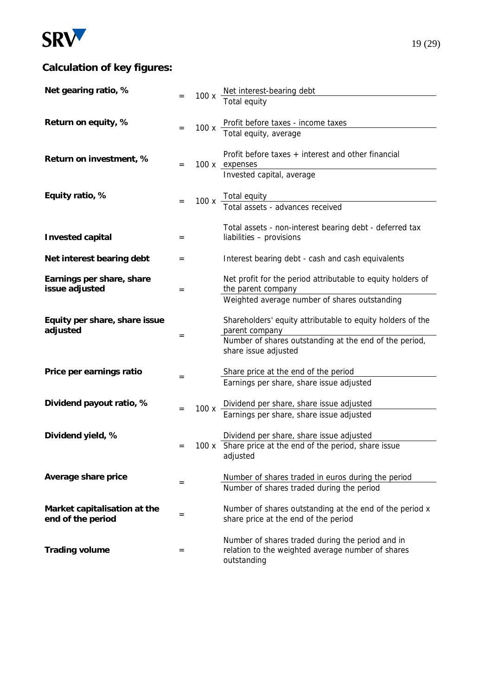

# **Calculation of key figures:**

| Net gearing ratio, %                        |     |      |                                                                                   |
|---------------------------------------------|-----|------|-----------------------------------------------------------------------------------|
|                                             |     |      | 100 x Net interest-bearing debt<br>Total equity                                   |
| Return on equity, %                         |     |      |                                                                                   |
|                                             | $=$ | 100x | Profit before taxes - income taxes<br>Total equity, average                       |
|                                             |     |      |                                                                                   |
| Return on investment, %                     | $=$ |      | Profit before taxes $+$ interest and other financial<br>100 x expenses            |
|                                             |     |      | Invested capital, average                                                         |
| Equity ratio, %                             |     |      |                                                                                   |
|                                             |     |      | 100 x Total equity<br>Total assets - advances received                            |
|                                             |     |      | Total assets - non-interest bearing debt - deferred tax                           |
| Invested capital                            | $=$ |      | liabilities - provisions                                                          |
| Net interest bearing debt                   | $=$ |      | Interest bearing debt - cash and cash equivalents                                 |
|                                             |     |      |                                                                                   |
| Earnings per share, share<br>issue adjusted | $=$ |      | Net profit for the period attributable to equity holders of<br>the parent company |
|                                             |     |      | Weighted average number of shares outstanding                                     |
| Equity per share, share issue               |     |      | Shareholders' equity attributable to equity holders of the                        |
| adjusted                                    |     |      | parent company                                                                    |
|                                             | $=$ |      | Number of shares outstanding at the end of the period,                            |
|                                             |     |      | share issue adjusted                                                              |
| Price per earnings ratio                    | $=$ |      | Share price at the end of the period                                              |
|                                             |     |      | Earnings per share, share issue adjusted                                          |
| Dividend payout ratio, %                    |     |      | Dividend per share, share issue adjusted                                          |
|                                             | $=$ | 100x | Earnings per share, share issue adjusted                                          |
| Dividend yield, %                           |     |      | Dividend per share, share issue adjusted                                          |
|                                             | $=$ |      | 100 x Share price at the end of the period, share issue                           |
|                                             |     |      | adjusted                                                                          |
| Average share price                         | $=$ |      | Number of shares traded in euros during the period                                |
|                                             |     |      | Number of shares traded during the period                                         |
| Market capitalisation at the                |     |      | Number of shares outstanding at the end of the period x                           |
| end of the period                           | $=$ |      | share price at the end of the period                                              |
|                                             |     |      | Number of shares traded during the period and in                                  |
| Trading volume                              | $=$ |      | relation to the weighted average number of shares                                 |
|                                             |     |      | outstanding                                                                       |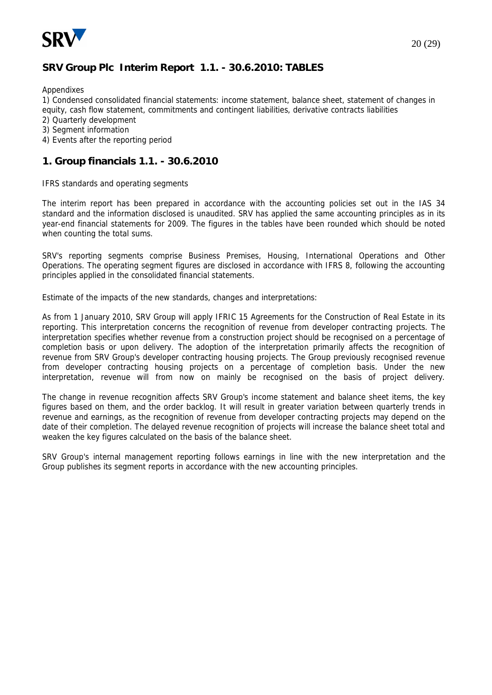

# **SRV Group Plc Interim Report 1.1. - 30.6.2010: TABLES**

**Appendixes** 

1) Condensed consolidated financial statements: income statement, balance sheet, statement of changes in equity, cash flow statement, commitments and contingent liabilities, derivative contracts liabilities

- 2) Quarterly development
- 3) Segment information
- 4) Events after the reporting period

### **1. Group financials 1.1. - 30.6.2010**

IFRS standards and operating segments

The interim report has been prepared in accordance with the accounting policies set out in the IAS 34 standard and the information disclosed is unaudited. SRV has applied the same accounting principles as in its year-end financial statements for 2009. The figures in the tables have been rounded which should be noted when counting the total sums.

SRV's reporting segments comprise Business Premises, Housing, International Operations and Other Operations. The operating segment figures are disclosed in accordance with IFRS 8, following the accounting principles applied in the consolidated financial statements.

Estimate of the impacts of the new standards, changes and interpretations:

As from 1 January 2010, SRV Group will apply IFRIC 15 Agreements for the Construction of Real Estate in its reporting. This interpretation concerns the recognition of revenue from developer contracting projects. The interpretation specifies whether revenue from a construction project should be recognised on a percentage of completion basis or upon delivery. The adoption of the interpretation primarily affects the recognition of revenue from SRV Group's developer contracting housing projects. The Group previously recognised revenue from developer contracting housing projects on a percentage of completion basis. Under the new interpretation, revenue will from now on mainly be recognised on the basis of project delivery.

The change in revenue recognition affects SRV Group's income statement and balance sheet items, the key figures based on them, and the order backlog. It will result in greater variation between quarterly trends in revenue and earnings, as the recognition of revenue from developer contracting projects may depend on the date of their completion. The delayed revenue recognition of projects will increase the balance sheet total and weaken the key figures calculated on the basis of the balance sheet.

SRV Group's internal management reporting follows earnings in line with the new interpretation and the Group publishes its segment reports in accordance with the new accounting principles.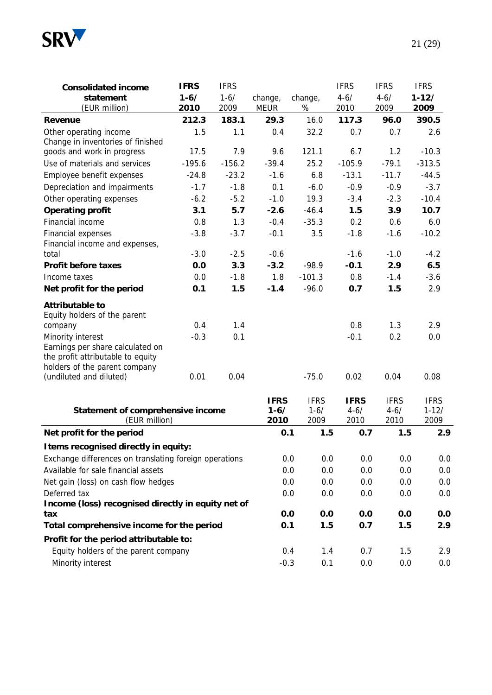

| Consolidated income                                                | <b>IFRS</b> | <b>IFRS</b> |             |             | <b>IFRS</b> | <b>IFRS</b> | <b>IFRS</b>     |
|--------------------------------------------------------------------|-------------|-------------|-------------|-------------|-------------|-------------|-----------------|
| statement                                                          | $1 - 6/$    | $1 - 6/$    | change,     | change,     | $4 - 6/$    | $4 - 6/$    | $1 - 12/$       |
| (EUR million)                                                      | 2010        | 2009        | <b>MEUR</b> | %           | 2010        | 2009        | 2009            |
| Revenue                                                            | 212.3       | 183.1       | 29.3        | 16.0        | 117.3       | 96.0        | 390.5           |
| Other operating income                                             | 1.5         | 1.1         | 0.4         | 32.2        | 0.7         | 0.7         | 2.6             |
| Change in inventories of finished                                  |             |             |             |             |             |             |                 |
| goods and work in progress                                         | 17.5        | 7.9         | 9.6         | 121.1       | 6.7         | 1.2         | $-10.3$         |
| Use of materials and services                                      | $-195.6$    | $-156.2$    | $-39.4$     | 25.2        | $-105.9$    | $-79.1$     | $-313.5$        |
| Employee benefit expenses                                          | $-24.8$     | $-23.2$     | $-1.6$      | 6.8         | $-13.1$     | $-11.7$     | $-44.5$         |
| Depreciation and impairments                                       | $-1.7$      | $-1.8$      | 0.1         | $-6.0$      | $-0.9$      | $-0.9$      | $-3.7$          |
| Other operating expenses                                           | $-6.2$      | $-5.2$      | $-1.0$      | 19.3        | $-3.4$      | $-2.3$      | $-10.4$         |
| Operating profit                                                   | 3.1         | 5.7         | $-2.6$      | $-46.4$     | 1.5         | 3.9         | 10.7            |
| Financial income                                                   | 0.8         | 1.3         | $-0.4$      | $-35.3$     | 0.2         | 0.6         | 6.0             |
| Financial expenses                                                 | $-3.8$      | $-3.7$      | $-0.1$      | 3.5         | $-1.8$      | $-1.6$      | $-10.2$         |
| Financial income and expenses,                                     |             |             |             |             |             |             |                 |
| total                                                              | $-3.0$      | $-2.5$      | $-0.6$      |             | $-1.6$      | $-1.0$      | $-4.2$          |
| Profit before taxes                                                | 0.0         | 3.3         | $-3.2$      | $-98.9$     | $-0.1$      | 2.9         | 6.5             |
| Income taxes                                                       | 0.0         | $-1.8$      | 1.8         | $-101.3$    | 0.8         | $-1.4$      | $-3.6$          |
| Net profit for the period                                          | 0.1         | 1.5         | $-1.4$      | $-96.0$     | 0.7         | 1.5         | 2.9             |
| Attributable to                                                    |             |             |             |             |             |             |                 |
| Equity holders of the parent                                       |             |             |             |             |             |             |                 |
| company                                                            | 0.4         | 1.4         |             |             | 0.8         | 1.3         | 2.9             |
| Minority interest                                                  | $-0.3$      | 0.1         |             |             | $-0.1$      | 0.2         | 0.0             |
| Earnings per share calculated on                                   |             |             |             |             |             |             |                 |
| the profit attributable to equity<br>holders of the parent company |             |             |             |             |             |             |                 |
| (undiluted and diluted)                                            | 0.01        | 0.04        |             | $-75.0$     | 0.02        | 0.04        | 0.08            |
|                                                                    |             |             |             |             |             |             |                 |
|                                                                    |             |             | <b>IFRS</b> | <b>IFRS</b> | <b>IFRS</b> | <b>IFRS</b> | <b>IFRS</b>     |
| Statement of comprehensive income                                  |             |             | $1 - 6/$    | $1 - 6/$    | $4 - 6/$    | $4 - 6/$    | $1 - 12/$       |
| (EUR million)                                                      |             |             | 2010        | 2009        | 2010        | 2010        | 2009            |
| Net profit for the period                                          |             |             | 0.1         | 1.5         | 0.7         | 1.5         | 2.9             |
| I tems recognised directly in equity:                              |             |             |             |             |             |             |                 |
| Exchange differences on translating foreign operations             |             |             |             | 0.0<br>0.0  | 0.0         | 0.0         | 0. <sub>C</sub> |
| Available for sale financial assets                                |             |             |             | 0.0<br>0.0  | 0.0         | 0.0         | 0. <sub>C</sub> |
| Net gain (loss) on cash flow hedges                                |             |             |             | 0.0<br>0.0  | 0.0         | 0.0         | 0. <sub>C</sub> |
| Deferred tax                                                       |             |             |             | 0.0<br>0.0  | 0.0         | 0.0         | 0. <sub>C</sub> |
| Income (loss) recognised directly in equity net of                 |             |             |             |             |             |             |                 |
| tax                                                                |             |             |             | 0.0<br>0.0  | 0.0         | 0.0         | 0.0             |
| Total comprehensive income for the period                          |             |             | 0.1         | 1.5         | 0.7         | 1.5         | 2.9             |
| Profit for the period attributable to:                             |             |             |             |             |             |             |                 |
| Equity holders of the parent company                               |             |             |             | 1.4<br>0.4  | 0.7         | 1.5         | 2.9             |
| Minority interest                                                  |             |             |             |             |             | 0.0<br>0.0  | 0. <sub>C</sub> |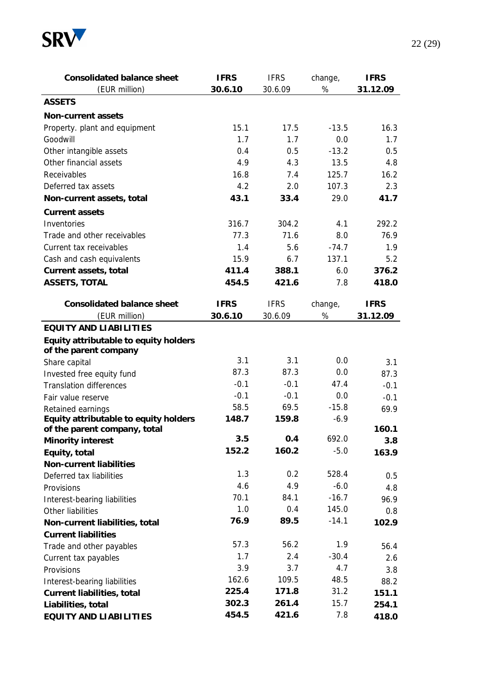

| Consolidated balance sheet            | <b>IFRS</b> | <b>IFRS</b>  | change, | <b>IFRS</b> |
|---------------------------------------|-------------|--------------|---------|-------------|
| (EUR million)                         | 30.6.10     | 30.6.09      | %       | 31.12.09    |
| <b>ASSETS</b>                         |             |              |         |             |
| Non-current assets                    |             |              |         |             |
| Property. plant and equipment         | 15.1        | 17.5         | $-13.5$ | 16.3        |
| Goodwill                              | 1.7         | 1.7          | 0.0     | 1.7         |
| Other intangible assets               | 0.4         | 0.5          | $-13.2$ | 0.5         |
| Other financial assets                | 4.9         | 4.3          | 13.5    | 4.8         |
| Receivables                           | 16.8        | 7.4          | 125.7   | 16.2        |
| Deferred tax assets                   | 4.2         | 2.0          | 107.3   | 2.3         |
| Non-current assets, total             | 43.1        | 33.4         | 29.0    | 41.7        |
| Current assets                        |             |              |         |             |
| Inventories                           | 316.7       | 304.2        | 4.1     | 292.2       |
| Trade and other receivables           | 77.3        | 71.6         | 8.0     | 76.9        |
| Current tax receivables               | 1.4         | 5.6          | $-74.7$ | 1.9         |
| Cash and cash equivalents             | 15.9        | 6.7          | 137.1   | 5.2         |
| Current assets, total                 | 411.4       | 388.1        | 6.0     | 376.2       |
| ASSETS, TOTAL                         | 454.5       | 421.6        | 7.8     | 418.0       |
|                                       |             |              |         |             |
| Consolidated balance sheet            | <b>IFRS</b> | <b>IFRS</b>  | change, | <b>IFRS</b> |
| (EUR million)                         | 30.6.10     | 30.6.09      | $\%$    | 31.12.09    |
| EQUITY AND LIABILITIES                |             |              |         |             |
| Equity attributable to equity holders |             |              |         |             |
| of the parent company                 |             |              |         |             |
| Share capital                         | 3.1         | 3.1          | 0.0     | 3.1         |
| Invested free equity fund             | 87.3        | 87.3         | 0.0     | 87.3        |
| <b>Translation differences</b>        | $-0.1$      | $-0.1$       | 47.4    | $-0.1$      |
| Fair value reserve                    | $-0.1$      | $-0.1$       | 0.0     | $-0.1$      |
| Retained earnings                     | 58.5        | 69.5         | $-15.8$ | 69.9        |
| Equity attributable to equity holders | 148.7       | 159.8        | $-6.9$  |             |
| of the parent company, total          |             |              | 692.0   | 160.1       |
| Minority interest                     | 3.5         | 0.4<br>160.2 |         | 3.8         |
| Equity, total                         | 152.2       |              | $-5.0$  | 163.9       |
| Non-current liabilities               |             |              | 528.4   |             |
| Deferred tax liabilities              | 1.3         | 0.2          |         | 0.5         |
| Provisions                            | 4.6         | 4.9          | $-6.0$  | 4.8         |
| Interest-bearing liabilities          | 70.1        | 84.1         | $-16.7$ | 96.9        |
| Other liabilities                     | 1.0         | 0.4          | 145.0   | 0.8         |
| Non-current liabilities, total        | 76.9        | 89.5         | $-14.1$ | 102.9       |
| <b>Current liabilities</b>            |             |              |         |             |
| Trade and other payables              | 57.3        | 56.2         | 1.9     | 56.4        |
| Current tax payables                  | 1.7         | 2.4          | $-30.4$ | 2.6         |
| Provisions                            | 3.9         | 3.7          | 4.7     | 3.8         |
| Interest-bearing liabilities          | 162.6       | 109.5        | 48.5    | 88.2        |
| Current liabilities, total            | 225.4       | 171.8        | 31.2    | 151.1       |
| Liabilities, total                    | 302.3       | 261.4        | 15.7    | 254.1       |
| EQUITY AND LIABILITIES                | 454.5       | 421.6        | 7.8     | 418.0       |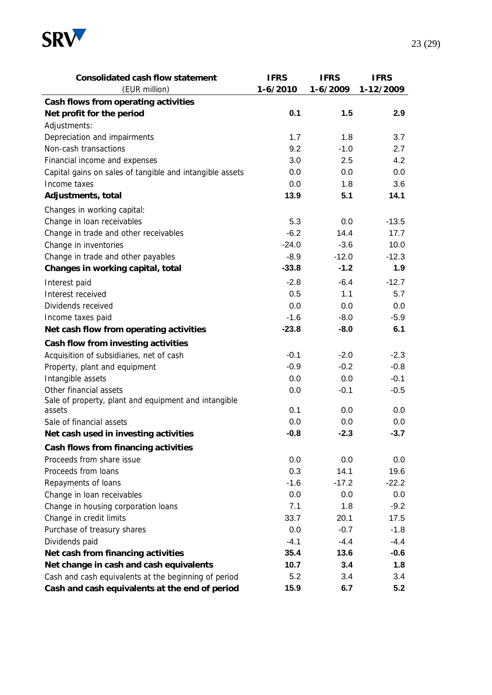

| Consolidated cash flow statement                         | <b>IFRS</b> | <b>IFRS</b> | <b>IFRS</b> |
|----------------------------------------------------------|-------------|-------------|-------------|
| (EUR million)                                            | $1-6/2010$  | 1-6/2009    | 1-12/2009   |
| Cash flows from operating activities                     |             |             |             |
| Net profit for the period                                | 0.1         | 1.5         | 2.9         |
| Adjustments:                                             |             |             |             |
| Depreciation and impairments                             | 1.7         | 1.8         | 3.7         |
| Non-cash transactions                                    | 9.2         | $-1.0$      | 2.7         |
| Financial income and expenses                            | 3.0         | 2.5         | 4.2         |
| Capital gains on sales of tangible and intangible assets | 0.0         | 0.0         | 0.0         |
| Income taxes                                             | 0.0         | 1.8         | 3.6         |
| Adjustments, total                                       | 13.9        | 5.1         | 14.1        |
| Changes in working capital:                              |             |             |             |
| Change in loan receivables                               | 5.3         | 0.0         | $-13.5$     |
| Change in trade and other receivables                    | $-6.2$      | 14.4        | 17.7        |
| Change in inventories                                    | $-24.0$     | $-3.6$      | 10.0        |
| Change in trade and other payables                       | $-8.9$      | $-12.0$     | $-12.3$     |
| Changes in working capital, total                        | $-33.8$     | $-1.2$      | 1.9         |
| Interest paid                                            | $-2.8$      | $-6.4$      | $-12.7$     |
| Interest received                                        | 0.5         | 1.1         | 5.7         |
| Dividends received                                       | 0.0         | 0.0         | 0.0         |
| Income taxes paid                                        | $-1.6$      | $-8.0$      | $-5.9$      |
| Net cash flow from operating activities                  | $-23.8$     | $-8.0$      | 6.1         |
| Cash flow from investing activities                      |             |             |             |
| Acquisition of subsidiaries, net of cash                 | $-0.1$      | $-2.0$      | $-2.3$      |
| Property, plant and equipment                            | $-0.9$      | $-0.2$      | $-0.8$      |
| Intangible assets                                        | 0.0         | 0.0         | $-0.1$      |
| Other financial assets                                   | 0.0         | $-0.1$      | $-0.5$      |
| Sale of property, plant and equipment and intangible     |             |             |             |
| assets                                                   | 0.1         | 0.0         | 0.0         |
| Sale of financial assets                                 | 0.0         | 0.0         | 0.0         |
| Net cash used in investing activities                    | $-0.8$      | $-2.3$      | $-3.7$      |
| Cash flows from financing activities                     |             |             |             |
| Proceeds from share issue                                | 0.0         | 0.0         | 0.0         |
| Proceeds from loans                                      | 0.3         | 14.1        | 19.6        |
| Repayments of loans                                      | $-1.6$      | $-17.2$     | $-22.2$     |
| Change in loan receivables                               | 0.0         | 0.0         | 0.0         |
| Change in housing corporation loans                      | 7.1         | 1.8         | $-9.2$      |
| Change in credit limits                                  | 33.7        | 20.1        | 17.5        |
| Purchase of treasury shares                              | 0.0         | $-0.7$      | $-1.8$      |
| Dividends paid                                           | $-4.1$      | $-4.4$      | $-4.4$      |
| Net cash from financing activities                       | 35.4        | 13.6        | $-0.6$      |
| Net change in cash and cash equivalents                  | 10.7        | 3.4         | 1.8         |
| Cash and cash equivalents at the beginning of period     | 5.2         | 3.4         | 3.4         |
| Cash and cash equivalents at the end of period           | 15.9        | 6.7         | 5.2         |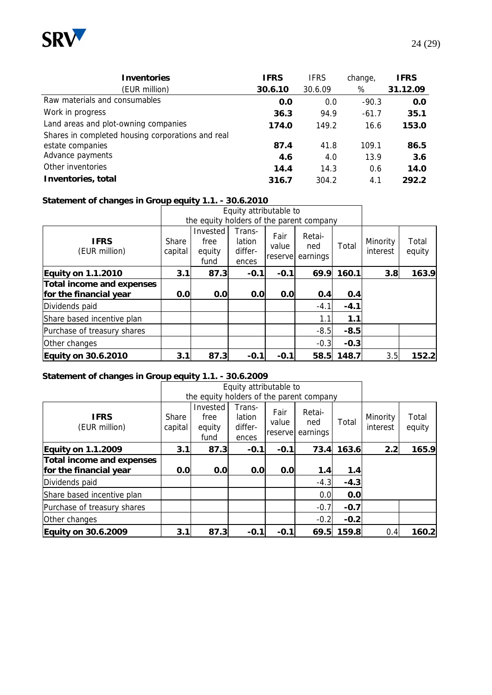

| Inventories                                       | <b>IFRS</b> | <b>IFRS</b> | change, | <b>IFRS</b> |
|---------------------------------------------------|-------------|-------------|---------|-------------|
| (EUR million)                                     | 30.6.10     | 30.6.09     | %       | 31.12.09    |
| Raw materials and consumables                     | 0.0         | 0.0         | $-90.3$ | 0.0         |
| Work in progress                                  | 36.3        | 94.9        | $-61.7$ | 35.1        |
| Land areas and plot-owning companies              | 174.0       | 149.2       | 16.6    | 153.0       |
| Shares in completed housing corporations and real |             |             |         |             |
| estate companies                                  | 87.4        | 41.8        | 109.1   | 86.5        |
|                                                   |             |             |         |             |

| Advance payments   | 46    | 40    | 13.9 | 3.6   |
|--------------------|-------|-------|------|-------|
| Other inventories  | 144   | 14.3  | 0.6  | 14.C  |
| Inventories, total | 316.7 | 304.2 | 4.1  | 292.2 |

# **Statement of changes in Group equity 1.1. - 30.6.2010**

|                                                     |                  | Equity attributable to                   |                                      |                          |                           |        |                      |                 |
|-----------------------------------------------------|------------------|------------------------------------------|--------------------------------------|--------------------------|---------------------------|--------|----------------------|-----------------|
|                                                     |                  | the equity holders of the parent company |                                      |                          |                           |        |                      |                 |
| <b>IFRS</b><br>(EUR million)                        | Share<br>capital | Invested<br>free<br>equity<br>fund       | Trans-<br>lation<br>differ-<br>ences | Fair<br>value<br>reserve | Retai-<br>ned<br>earnings | Total  | Minority<br>interest | Total<br>equity |
| Equity on 1.1.2010                                  | 3.1              | 87.3                                     | $-0.1$                               | $-0.1$                   | 69.9                      | 160.1  | 3.8                  | 163.9           |
| Total income and expenses<br>for the financial year | 0.0              | 0.0                                      | 0.0                                  | 0.0                      | 0.4                       | O.4    |                      |                 |
| Dividends paid                                      |                  |                                          |                                      |                          | $-4.1$                    | $-4.1$ |                      |                 |
| Share based incentive plan                          |                  |                                          |                                      |                          | 1.1                       | 1.1    |                      |                 |
| Purchase of treasury shares                         |                  |                                          |                                      |                          | $-8.5$                    | $-8.5$ |                      |                 |
| Other changes                                       |                  |                                          |                                      |                          | $-0.3$                    | $-0.3$ |                      |                 |
| Equity on 30.6.2010                                 | 3.1              | 87.3                                     | $-0.1$                               | $-0.1$                   | 58.5                      | 148.7  | 3.5                  | 152.2           |

#### **Statement of changes in Group equity 1.1. - 30.6.2009**

|                                                     |                  | Equity attributable to<br>the equity holders of the parent company |                                      |                           |                           |        |                      |                 |
|-----------------------------------------------------|------------------|--------------------------------------------------------------------|--------------------------------------|---------------------------|---------------------------|--------|----------------------|-----------------|
| <b>IFRS</b><br>(EUR million)                        | Share<br>capital | Invested<br>free<br>equity<br>fund                                 | Trans-<br>lation<br>differ-<br>ences | Fair<br>value<br>reservel | Retai-<br>ned<br>earnings | Total  | Minority<br>interest | Total<br>equity |
| Equity on 1.1.2009                                  | 3.1              | 87.3                                                               | $-0.1$                               | $-0.1$                    | 73.4                      | 163.6  | 2.2                  | 165.9           |
| Total income and expenses<br>for the financial year | 0.0              | 0.0                                                                | 0.0                                  | 0.0                       | 1.4                       | 1.4    |                      |                 |
| Dividends paid                                      |                  |                                                                    |                                      |                           | $-4.3$                    | $-4.3$ |                      |                 |
| Share based incentive plan                          |                  |                                                                    |                                      |                           | 0.0                       | 0.0    |                      |                 |
| Purchase of treasury shares                         |                  |                                                                    |                                      |                           | $-0.7$                    | $-0.7$ |                      |                 |
| Other changes                                       |                  |                                                                    |                                      |                           | $-0.2$                    | $-0.2$ |                      |                 |
| Equity on 30.6.2009                                 | 3.1              | 87.3                                                               | $-0.1$                               | $-0.1$                    | 69.5                      | 159.8  | 0.4                  | 160.2           |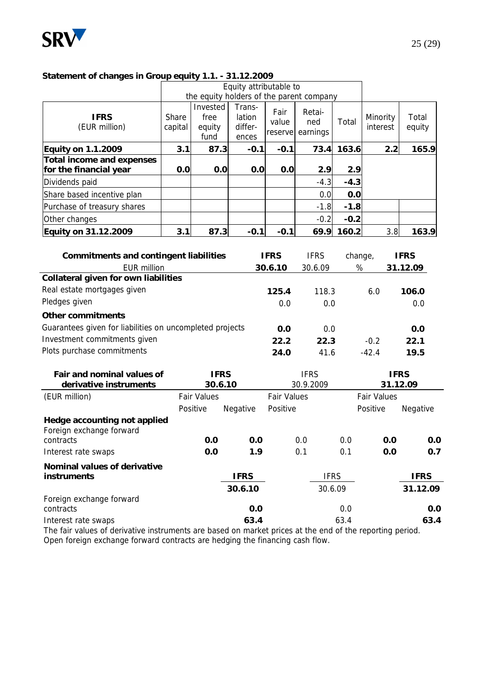

| $\sim$ . $\sim$ . $\sim$ . $\sim$ . $\sim$ . $\sim$ . $\sim$ . $\sim$ . $\sim$ . $\sim$ . $\sim$ . $\sim$ . $\sim$ . $\sim$ . $\sim$ |                         | Equity attributable to                   |                                      |                          |                           |        |                      |                 |
|--------------------------------------------------------------------------------------------------------------------------------------|-------------------------|------------------------------------------|--------------------------------------|--------------------------|---------------------------|--------|----------------------|-----------------|
|                                                                                                                                      |                         | the equity holders of the parent company |                                      |                          |                           |        |                      |                 |
| <b>IFRS</b><br>(EUR million)                                                                                                         | <b>Share</b><br>capital | Invested<br>free<br>equity<br>fund       | Trans-<br>lation<br>differ-<br>ences | Fair<br>value<br>reserve | Retai-<br>ned<br>earnings | Total  | Minority<br>interest | Total<br>equity |
| Equity on 1.1.2009                                                                                                                   | 3.1                     | 87.3                                     | $-0.1$                               | $-0.1$                   | 73.4                      | 163.6  | 2.2                  | 165.9           |
| Total income and expenses<br>for the financial year                                                                                  | 0.0                     | 0.0                                      | 0.0                                  | 0.0                      | 2.9                       | 2.9    |                      |                 |
| Dividends paid                                                                                                                       |                         |                                          |                                      |                          | $-4.3$                    | $-4.3$ |                      |                 |
| Share based incentive plan                                                                                                           |                         |                                          |                                      |                          | 0.0                       | 0.0    |                      |                 |
| Purchase of treasury shares                                                                                                          |                         |                                          |                                      |                          | $-1.8$                    | $-1.8$ |                      |                 |
| Other changes                                                                                                                        |                         |                                          |                                      |                          | $-0.2$                    | $-0.2$ |                      |                 |
| Equity on 31.12.2009                                                                                                                 | 3.1                     | 87.3                                     | $-0.1$                               | $-0.1$                   | 69.9                      | 160.2  | 3.8                  | 163.9           |

**Statement of changes in Group equity 1.1. - 31.12.2009**

| Commitments and contingent liabilities                   |                    |             | <b>IFRS</b>        | <b>IFRS</b> | change,            |             | <b>IFRS</b> |
|----------------------------------------------------------|--------------------|-------------|--------------------|-------------|--------------------|-------------|-------------|
| <b>EUR million</b>                                       |                    |             | 30.6.10            | 30.6.09     | $\%$               |             | 31.12.09    |
| Collateral given for own liabilities                     |                    |             |                    |             |                    |             |             |
| Real estate mortgages given                              |                    |             | 125.4              | 118.3       | 6.0                |             | 106.0       |
| Pledges given                                            |                    |             | 0.0                | 0.0         |                    |             | 0.0         |
| Other commitments                                        |                    |             |                    |             |                    |             |             |
| Guarantees given for liabilities on uncompleted projects |                    |             | 0.0                | 0.0         |                    |             | 0.0         |
| Investment commitments given                             |                    |             | 22.2               | 22.3        | $-0.2$             |             | 22.1        |
| Plots purchase commitments                               |                    |             | 24.0               | 41.6        | $-42.4$            |             | 19.5        |
| Fair and nominal values of                               |                    | <b>IFRS</b> |                    | <b>IFRS</b> |                    | <b>IFRS</b> |             |
| derivative instruments                                   |                    | 30.6.10     |                    | 30.9.2009   |                    | 31.12.09    |             |
| (EUR million)                                            | <b>Fair Values</b> |             | <b>Fair Values</b> |             | <b>Fair Values</b> |             |             |
|                                                          | Positive           | Negative    | Positive           |             | Positive           |             | Negative    |
| Hedge accounting not applied<br>Foreign exchange forward |                    |             |                    |             |                    |             |             |
| contracts                                                | 0.0                | 0.0         |                    | 0.0         | 0.0                | 0.0         | 0.0         |
| Interest rate swaps                                      | 0.0                | 1.9         |                    | 0.1         | 0.1                | 0.0         | 0.7         |
| Nominal values of derivative                             |                    |             |                    |             |                    |             |             |
| instruments                                              |                    | <b>IFRS</b> |                    | <b>IFRS</b> |                    |             | <b>IFRS</b> |
|                                                          |                    | 30.6.10     |                    | 30.6.09     |                    |             | 31.12.09    |
| Foreign exchange forward<br>contracts                    |                    | 0.0         |                    |             | 0.0                |             | 0.0         |
| Interest rate swaps                                      |                    | 63.4        |                    |             | 63.4               |             | 63.4        |
|                                                          |                    |             |                    |             |                    |             |             |

The fair values of derivative instruments are based on market prices at the end of the reporting period. Open foreign exchange forward contracts are hedging the financing cash flow.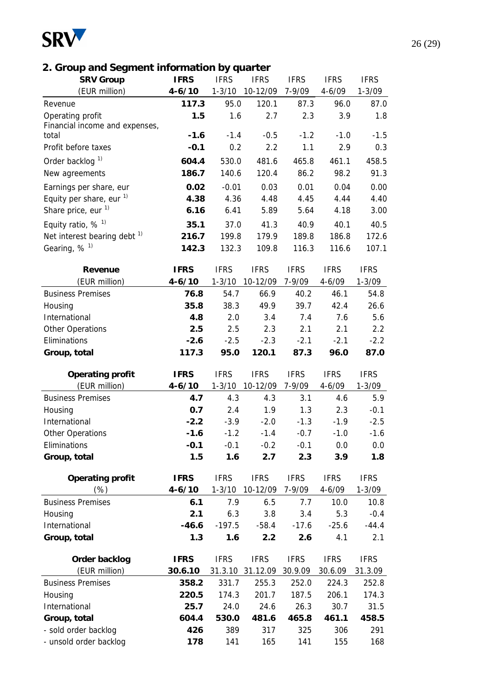

# **2. Group and Segment information by quarter**

| <b>SRV Group</b>                        | <b>IFRS</b>      | <b>IFRS</b>      | <b>IFRS</b>      | <b>IFRS</b>      | <b>IFRS</b>      | <b>IFRS</b>      |
|-----------------------------------------|------------------|------------------|------------------|------------------|------------------|------------------|
| (EUR million)                           | $4 - 6/10$       | $1 - 3/10$       | 10-12/09         | 7-9/09           | $4 - 6/09$       | $1 - 3/09$       |
| Revenue                                 | 117.3            | 95.0             | 120.1            | 87.3             | 96.0             | 87.0             |
| Operating profit                        | 1.5              | 1.6              | 2.7              | 2.3              | 3.9              | 1.8              |
| Financial income and expenses,          |                  |                  |                  |                  |                  |                  |
| total                                   | $-1.6$           | $-1.4$           | $-0.5$           | $-1.2$           | $-1.0$           | $-1.5$           |
| Profit before taxes                     | $-0.1$           | 0.2              | 2.2              | 1.1              | 2.9              | 0.3              |
| Order backlog <sup>1)</sup>             | 604.4            | 530.0            | 481.6            | 465.8            | 461.1            | 458.5            |
| New agreements                          | 186.7            | 140.6            | 120.4            | 86.2             | 98.2             | 91.3             |
| Earnings per share, eur                 | 0.02             | $-0.01$          | 0.03             | 0.01             | 0.04             | 0.00             |
| Equity per share, eur $1$ )             | 4.38             | 4.36             | 4.48             | 4.45             | 4.44             | 4.40             |
| Share price, eur <sup>1)</sup>          | 6.16             | 6.41             | 5.89             | 5.64             | 4.18             | 3.00             |
| Equity ratio, $%$ <sup>1)</sup>         | 35.1             | 37.0             | 41.3             | 40.9             | 40.1             | 40.5             |
| Net interest bearing debt <sup>1)</sup> | 216.7            | 199.8            | 179.9            | 189.8            | 186.8            | 172.6            |
| Gearing, $%$ <sup>1)</sup>              | 142.3            | 132.3            | 109.8            | 116.3            | 116.6            | 107.1            |
|                                         |                  |                  |                  |                  |                  |                  |
| Revenue                                 | <b>IFRS</b>      | <b>IFRS</b>      | <b>IFRS</b>      | <b>IFRS</b>      | <b>IFRS</b>      | <b>IFRS</b>      |
| (EUR million)                           | $4 - 6/10$       | $1 - 3/10$       | 10-12/09         | 7-9/09           | $4 - 6/09$       | $1 - 3/09$       |
| <b>Business Premises</b>                | 76.8             | 54.7             | 66.9             | 40.2             | 46.1             | 54.8             |
| Housing                                 | 35.8             | 38.3             | 49.9             | 39.7             | 42.4             | 26.6             |
| International                           | 4.8              | 2.0              | 3.4              | 7.4              | 7.6              | 5.6              |
| Other Operations                        | 2.5              | 2.5              | 2.3              | 2.1              | 2.1              | 2.2              |
| Eliminations                            | $-2.6$           | $-2.5$           | $-2.3$           | $-2.1$           | $-2.1$           | $-2.2$           |
| Group, total                            | 117.3            | 95.0             | 120.1            | 87.3             | 96.0             | 87.0             |
|                                         |                  |                  |                  |                  |                  |                  |
| Operating profit                        | <b>IFRS</b>      | <b>IFRS</b>      | <b>IFRS</b>      | <b>IFRS</b>      | <b>IFRS</b>      | <b>IFRS</b>      |
| (EUR million)                           | $4 - 6/10$       | $1 - 3/10$       | 10-12/09         | 7-9/09           | $4 - 6/09$       | $1 - 3/09$       |
| <b>Business Premises</b>                | 4.7<br>0.7       | 4.3<br>2.4       | 4.3<br>1.9       | 3.1<br>1.3       | 4.6<br>2.3       | 5.9<br>$-0.1$    |
| Housing                                 |                  |                  |                  |                  |                  |                  |
| International                           | $-2.2$<br>$-1.6$ | $-3.9$<br>$-1.2$ | $-2.0$           | $-1.3$<br>$-0.7$ | $-1.9$<br>$-1.0$ | $-2.5$<br>$-1.6$ |
| Other Operations                        | $-0.1$           | $-0.1$           | $-1.4$<br>$-0.2$ |                  | 0.0              |                  |
| Eliminations                            |                  |                  |                  | $-0.1$           |                  | 0.0              |
| Group, total                            | 1.5              | 1.6              | 2.7              | 2.3              | 3.9              | 1.8              |
| Operating profit                        | <b>IFRS</b>      | <b>IFRS</b>      | <b>IFRS</b>      | <b>IFRS</b>      | <b>IFRS</b>      | <b>IFRS</b>      |
| $(\%)$                                  | $4 - 6/10$       | $1 - 3/10$       | 10-12/09         | $7 - 9/09$       | $4 - 6/09$       | $1 - 3/09$       |
| <b>Business Premises</b>                | 6.1              | 7.9              | 6.5              | 7.7              | 10.0             | 10.8             |
| Housing                                 | 2.1              | 6.3              | 3.8              | 3.4              | 5.3              | $-0.4$           |
| International                           | $-46.6$          | $-197.5$         | $-58.4$          | $-17.6$          | $-25.6$          | $-44.4$          |
| Group, total                            | 1.3              | 1.6              | 2.2              | 2.6              | 4.1              | 2.1              |
|                                         |                  |                  |                  |                  |                  |                  |
| Order backlog                           | <b>IFRS</b>      | <b>IFRS</b>      | <b>IFRS</b>      | <b>IFRS</b>      | <b>IFRS</b>      | <b>IFRS</b>      |
| (EUR million)                           | 30.6.10          | 31.3.10          | 31.12.09         | 30.9.09          | 30.6.09          | 31.3.09          |
| <b>Business Premises</b>                | 358.2            | 331.7            | 255.3            | 252.0            | 224.3            | 252.8            |
| Housing                                 | 220.5            | 174.3            | 201.7            | 187.5            | 206.1            | 174.3            |
| International                           | 25.7             | 24.0             | 24.6             | 26.3             | 30.7             | 31.5             |
| Group, total                            | 604.4            | 530.0            | 481.6            | 465.8            | 461.1            | 458.5            |
| - sold order backlog                    | 426              | 389              | 317              | 325              | 306              | 291              |
| - unsold order backlog                  | 178              | 141              | 165              | 141              | 155              | 168              |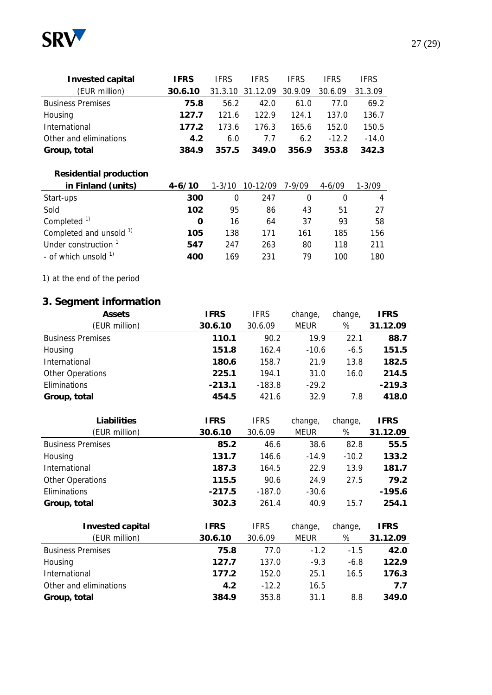

| Invested capital         | IFRS    | <b>IFRS</b> | <b>IFRS</b>              | <b>IFRS</b> | IFRS    | <b>IFRS</b> |
|--------------------------|---------|-------------|--------------------------|-------------|---------|-------------|
| (EUR million)            | 30.6.10 |             | 31.3.10 31.12.09 30.9.09 |             | 30.6.09 | 31.3.09     |
| <b>Business Premises</b> | 75.8    | 56.2        | 42.O                     | 61.0        | 77.O    | 69.2        |
| Housing                  | 127.7   | 121 6       | 122.9                    | 124.1       | 137.0   | 136.7       |
| International            | 1772    | 173.6       | 176.3                    | 165.6       | 152.0   | 150.5       |
| Other and eliminations   | 4.2     | 6.0         | 7.7                      | 6.2         | $-12.2$ | $-14.0$     |
| Group, total             | 3849    | 357.5       | 349.0                    | 356.9       | 353.8   | 342.3       |

# **Residential production**

| in Finland (units)                 | $4 - 6/10$ | $1 - 3/10$ | 10-12/09 | 7-9/09 | $4 - 6/09$ | 1-3/09 |
|------------------------------------|------------|------------|----------|--------|------------|--------|
| Start-ups                          | 300        | 0          | 247      |        |            |        |
| Sold                               | 102        | 95         | 86       | 43     | 51         | 27     |
| Completed <sup>1)</sup>            | O          | 16         | 64       | 37     | 93         | 58     |
| Completed and unsold <sup>1)</sup> | 105        | 138        | 171      | 161    | 185        | 156    |
| Under construction <sup>1</sup>    | 547        | 247        | 263      | 80     | 118        | 211    |
| - of which unsold $1$              | 400        | 169        | 231      | 79     | 100        | 180    |

1) at the end of the period

# **3. Segment information**

| Assets                   | IFRS     | <b>IFRS</b> | change,     | change, | IFRS     |
|--------------------------|----------|-------------|-------------|---------|----------|
| (EUR million)            | 30.6.10  | 30.6.09     | <b>MEUR</b> | %       | 31.12.09 |
| <b>Business Premises</b> | 110.1    | 90.2        | 19.9        | 22.1    | 88.7     |
| Housing                  | 151.8    | 162.4       | $-10.6$     | $-6.5$  | 151.5    |
| International            | 180.6    | 158.7       | 21.9        | 13.8    | 182.5    |
| Other Operations         | 225.1    | 194.1       | 31.0        | 16.0    | 214.5    |
| Eliminations             | $-213.1$ | $-183.8$    | $-29.2$     |         | $-219.3$ |
| Group, total             | 454.5    | 421.6       | 32.9        | 7.8     | 418.0    |

| Liabilities              | <b>IFRS</b> | <b>IFRS</b> | change,     | change, | <b>IFRS</b> |
|--------------------------|-------------|-------------|-------------|---------|-------------|
| (EUR million)            | 30.6.10     | 30.6.09     | <b>MEUR</b> | %       | 31.12.09    |
| <b>Business Premises</b> | 85.2        | 46.6        | 38.6        | 82.8    | 55.5        |
| Housing                  | 131.7       | 146.6       | $-14.9$     | $-10.2$ | 133.2       |
| International            | 187.3       | 164.5       | 22.9        | 13.9    | 181.7       |
| Other Operations         | 115.5       | 90.6        | 24.9        | 27.5    | 79.2        |
| Eliminations             | $-217.5$    | $-187.0$    | $-30.6$     |         | $-195.6$    |
| Group, total             | 302.3       | 261.4       | 40.9        | 15.7    | 254.1       |
|                          |             |             |             |         |             |
| Invested capital         | <b>IFRS</b> | <b>IFRS</b> | change,     | change, | <b>IFRS</b> |
| (EUR million)            | 30.6.10     | 30.6.09     | <b>MEUR</b> | %       | 31.12.09    |
| <b>Business Premises</b> | 75.8        | 77.0        | $-1.2$      | $-1.5$  | 42.0        |
| Housing                  | 127.7       | 137.0       | $-9.3$      | $-6.8$  | 122.9       |
| International            | 177.2       | 152.0       | 25.1        | 16.5    | 176.3       |
| Other and eliminations   | 4.2         | $-12.2$     | 16.5        |         | 7.7         |

**Group, total 384.9** 353.8 31.1 8.8 **349.0**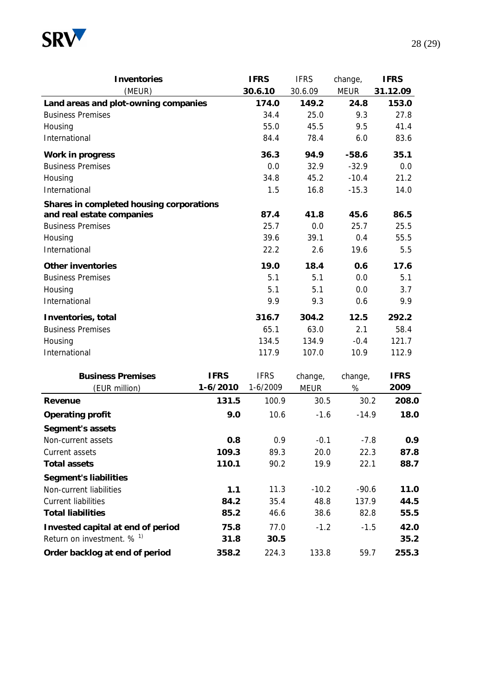

| Inventories                              |              | <b>IFRS</b> | <b>IFRS</b> | change,     | <b>IFRS</b> |
|------------------------------------------|--------------|-------------|-------------|-------------|-------------|
| (MEUR)                                   |              | 30.6.10     | 30.6.09     | <b>MEUR</b> | 31.12.09    |
| Land areas and plot-owning companies     |              | 174.0       | 149.2       | 24.8        | 153.0       |
| <b>Business Premises</b>                 |              | 34.4        | 25.0        | 9.3         | 27.8        |
| Housing                                  |              | 55.0        | 45.5        | 9.5         | 41.4        |
| International                            |              | 84.4        | 78.4        | 6.0         | 83.6        |
| Work in progress                         |              | 36.3        | 94.9        | $-58.6$     | 35.1        |
| <b>Business Premises</b>                 |              | 0.0         | 32.9        | $-32.9$     | 0.0         |
| Housing                                  |              | 34.8        | 45.2        | $-10.4$     | 21.2        |
| International                            |              | 1.5         | 16.8        | $-15.3$     | 14.0        |
| Shares in completed housing corporations |              |             |             |             |             |
| and real estate companies                |              | 87.4        | 41.8        | 45.6        | 86.5        |
| <b>Business Premises</b>                 |              | 25.7        | 0.0         | 25.7        | 25.5        |
| Housing                                  |              | 39.6        | 39.1        | 0.4         | 55.5        |
| International                            |              | 22.2        | 2.6         | 19.6        | 5.5         |
| Other inventories                        |              | 19.0        | 18.4        | 0.6         | 17.6        |
| <b>Business Premises</b>                 |              | 5.1         | 5.1         | 0.0         | 5.1         |
| Housing                                  |              | 5.1         | 5.1         | 0.0         | 3.7         |
| International                            |              | 9.9         | 9.3         | 0.6         | 9.9         |
| Inventories, total                       |              | 316.7       | 304.2       | 12.5        | 292.2       |
| <b>Business Premises</b>                 |              | 65.1        | 63.0        | 2.1         | 58.4        |
| Housing                                  |              | 134.5       | 134.9       | $-0.4$      | 121.7       |
| International                            |              | 117.9       | 107.0       | 10.9        | 112.9       |
| <b>Business Premises</b>                 | <b>IFRS</b>  | <b>IFRS</b> | change,     | change,     | <b>IFRS</b> |
| (EUR million)                            | $1 - 6/2010$ | 1-6/2009    | <b>MEUR</b> | %           | 2009        |
| Revenue                                  | 131.5        | 100.9       | 30.5        | 30.2        | 208.0       |
| Operating profit                         | 9.0          | 10.6        | $-1.6$      | $-14.9$     | 18.0        |
| Segment's assets                         |              |             |             |             |             |
| Non-current assets                       | 0.8          | 0.9         | $-0.1$      | $-7.8$      | 0.9         |
| Current assets                           | 109.3        | 89.3        | 20.0        | 22.3        | 87.8        |
| Total assets                             | 110.1        | 90.2        | 19.9        | 22.1        | 88.7        |
| Segment's liabilities                    |              |             |             |             |             |
| Non-current liabilities                  | 1.1          | 11.3        | $-10.2$     | $-90.6$     | 11.0        |
| <b>Current liabilities</b>               | 84.2         | 35.4        | 48.8        | 137.9       | 44.5        |
| <b>Total liabilities</b>                 | 85.2         | 46.6        | 38.6        | 82.8        | 55.5        |
| Invested capital at end of period        | 75.8         | 77.0        | $-1.2$      | $-1.5$      | 42.0        |
| Return on investment. % <sup>1)</sup>    | 31.8         | 30.5        |             |             | 35.2        |
| Order backlog at end of period           | 358.2        | 224.3       | 133.8       | 59.7        | 255.3       |